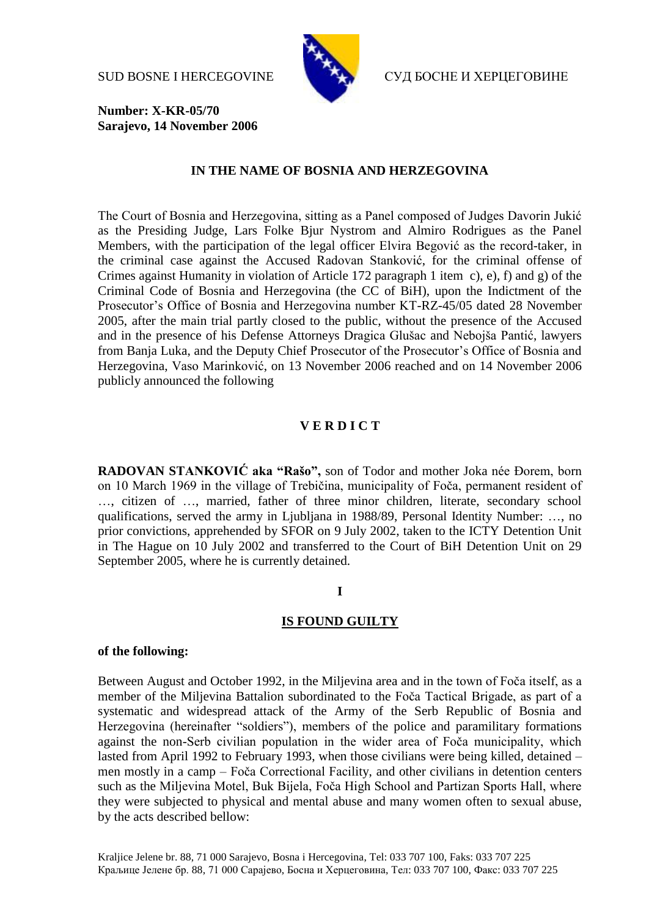

SUD BOSNE I HERCEGOVINE СУД БОСНЕ И ХЕРЦЕГОВИНЕ

**Number: X-KR-05/70 Sarajevo, 14 November 2006**

### **IN THE NAME OF BOSNIA AND HERZEGOVINA**

The Court of Bosnia and Herzegovina, sitting as a Panel composed of Judges Davorin Jukić as the Presiding Judge, Lars Folke Bjur Nystrom and Almiro Rodrigues as the Panel Members, with the participation of the legal officer Elvira Begović as the record-taker, in the criminal case against the Accused Radovan Stanković, for the criminal offense of Crimes against Humanity in violation of Article 172 paragraph 1 item c), e), f) and g) of the Criminal Code of Bosnia and Herzegovina (the CC of BiH), upon the Indictment of the Prosecutor's Office of Bosnia and Herzegovina number KT-RZ-45/05 dated 28 November 2005, after the main trial partly closed to the public, without the presence of the Accused and in the presence of his Defense Attorneys Dragica Glušac and Nebojša Pantić, lawyers from Banja Luka, and the Deputy Chief Prosecutor of the Prosecutor's Office of Bosnia and Herzegovina, Vaso Marinković, on 13 November 2006 reached and on 14 November 2006 publicly announced the following

# **V E R D I C T**

**RADOVAN STANKOVIĆ aka "Rašo",** son of Todor and mother Joka née Đorem, born on 10 March 1969 in the village of Trebičina, municipality of Foča, permanent resident of …, citizen of …, married, father of three minor children, literate, secondary school qualifications, served the army in Ljubljana in 1988/89, Personal Identity Number: …, no prior convictions, apprehended by SFOR on 9 July 2002, taken to the ICTY Detention Unit in The Hague on 10 July 2002 and transferred to the Court of BiH Detention Unit on 29 September 2005, where he is currently detained.

#### **I**

## **IS FOUND GUILTY**

### **of the following:**

Between August and October 1992, in the Miljevina area and in the town of Foča itself, as a member of the Miljevina Battalion subordinated to the Foča Tactical Brigade, as part of a systematic and widespread attack of the Army of the Serb Republic of Bosnia and Herzegovina (hereinafter "soldiers"), members of the police and paramilitary formations against the non-Serb civilian population in the wider area of Foča municipality, which lasted from April 1992 to February 1993, when those civilians were being killed, detained – men mostly in a camp – Foča Correctional Facility, and other civilians in detention centers such as the Miljevina Motel, Buk Bijela, Foča High School and Partizan Sports Hall, where they were subjected to physical and mental abuse and many women often to sexual abuse, by the acts described bellow: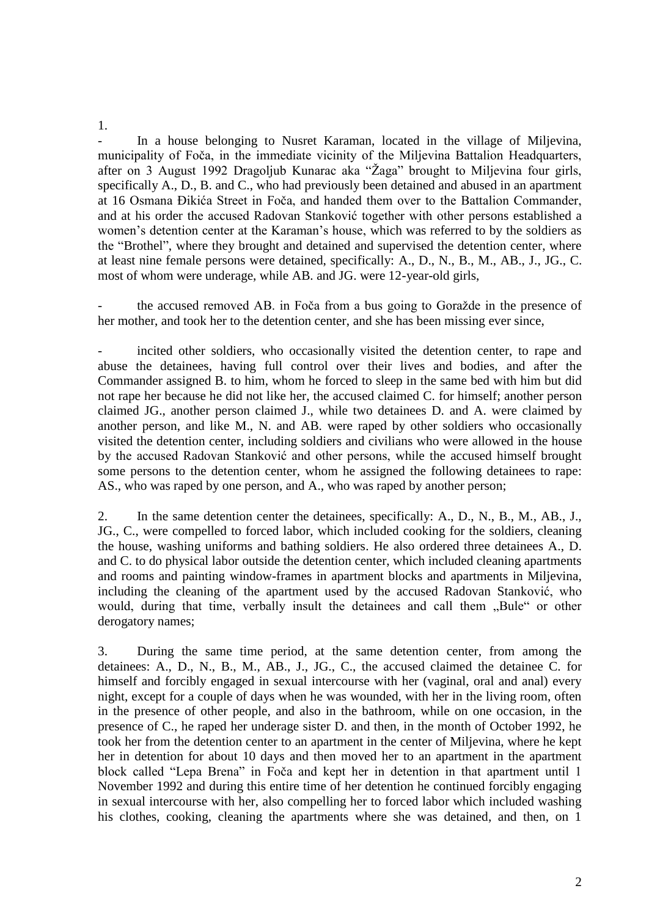- In a house belonging to Nusret Karaman, located in the village of Miljevina, municipality of Foča, in the immediate vicinity of the Miljevina Battalion Headquarters, after on 3 August 1992 Dragoljub Kunarac aka "Žaga" brought to Miljevina four girls, specifically A., D., B. and C., who had previously been detained and abused in an apartment at 16 Osmana Đikića Street in Foča, and handed them over to the Battalion Commander, and at his order the accused Radovan Stanković together with other persons established a women's detention center at the Karaman's house, which was referred to by the soldiers as the "Brothel", where they brought and detained and supervised the detention center, where at least nine female persons were detained, specifically: A., D., N., B., M., AB., J., JG., C. most of whom were underage, while AB. and JG. were 12-year-old girls,

the accused removed AB. in Foča from a bus going to Goražde in the presence of her mother, and took her to the detention center, and she has been missing ever since,

incited other soldiers, who occasionally visited the detention center, to rape and abuse the detainees, having full control over their lives and bodies, and after the Commander assigned B. to him, whom he forced to sleep in the same bed with him but did not rape her because he did not like her, the accused claimed C. for himself; another person claimed JG., another person claimed J., while two detainees D. and A. were claimed by another person, and like M., N. and AB. were raped by other soldiers who occasionally visited the detention center, including soldiers and civilians who were allowed in the house by the accused Radovan Stanković and other persons, while the accused himself brought some persons to the detention center, whom he assigned the following detainees to rape: AS., who was raped by one person, and A., who was raped by another person;

2. In the same detention center the detainees, specifically: A., D., N., B., M., AB., J., JG., C., were compelled to forced labor, which included cooking for the soldiers, cleaning the house, washing uniforms and bathing soldiers. He also ordered three detainees A., D. and C. to do physical labor outside the detention center, which included cleaning apartments and rooms and painting window-frames in apartment blocks and apartments in Miljevina, including the cleaning of the apartment used by the accused Radovan Stanković, who would, during that time, verbally insult the detainees and call them "Bule" or other derogatory names;

3. During the same time period, at the same detention center, from among the detainees: A., D., N., B., M., AB., J., JG., C., the accused claimed the detainee C. for himself and forcibly engaged in sexual intercourse with her (vaginal, oral and anal) every night, except for a couple of days when he was wounded, with her in the living room, often in the presence of other people, and also in the bathroom, while on one occasion, in the presence of C., he raped her underage sister D. and then, in the month of October 1992, he took her from the detention center to an apartment in the center of Miljevina, where he kept her in detention for about 10 days and then moved her to an apartment in the apartment block called "Lepa Brena" in Foča and kept her in detention in that apartment until 1 November 1992 and during this entire time of her detention he continued forcibly engaging in sexual intercourse with her, also compelling her to forced labor which included washing his clothes, cooking, cleaning the apartments where she was detained, and then, on 1

1.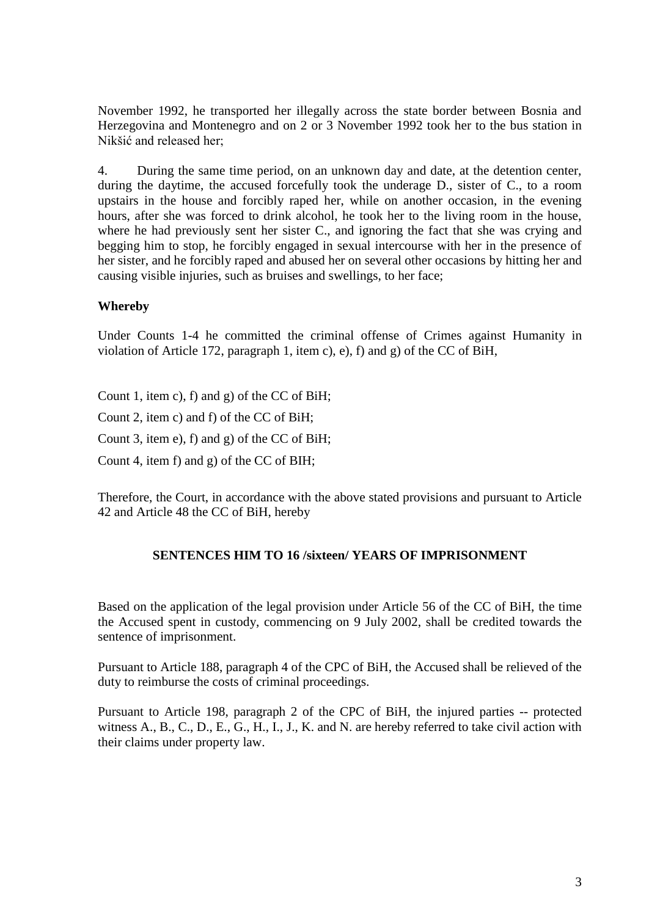November 1992, he transported her illegally across the state border between Bosnia and Herzegovina and Montenegro and on 2 or 3 November 1992 took her to the bus station in Nikšić and released her;

4. During the same time period, on an unknown day and date, at the detention center, during the daytime, the accused forcefully took the underage D., sister of C., to a room upstairs in the house and forcibly raped her, while on another occasion, in the evening hours, after she was forced to drink alcohol, he took her to the living room in the house, where he had previously sent her sister C., and ignoring the fact that she was crying and begging him to stop, he forcibly engaged in sexual intercourse with her in the presence of her sister, and he forcibly raped and abused her on several other occasions by hitting her and causing visible injuries, such as bruises and swellings, to her face;

## **Whereby**

Under Counts 1-4 he committed the criminal offense of Crimes against Humanity in violation of Article 172, paragraph 1, item c), e), f) and g) of the CC of BiH,

Count 1, item c), f) and g) of the CC of BiH;

Count 2, item c) and f) of the CC of BiH;

Count 3, item e), f) and g) of the CC of BiH;

Count 4, item f) and g) of the CC of BIH;

Therefore, the Court, in accordance with the above stated provisions and pursuant to Article 42 and Article 48 the CC of BiH, hereby

### **SENTENCES HIM TO 16 /sixteen/ YEARS OF IMPRISONMENT**

Based on the application of the legal provision under Article 56 of the CC of BiH, the time the Accused spent in custody, commencing on 9 July 2002, shall be credited towards the sentence of imprisonment.

Pursuant to Article 188, paragraph 4 of the CPC of BiH, the Accused shall be relieved of the duty to reimburse the costs of criminal proceedings.

Pursuant to Article 198, paragraph 2 of the CPC of BiH, the injured parties -- protected witness A., B., C., D., E., G., H., I., J., K. and N. are hereby referred to take civil action with their claims under property law.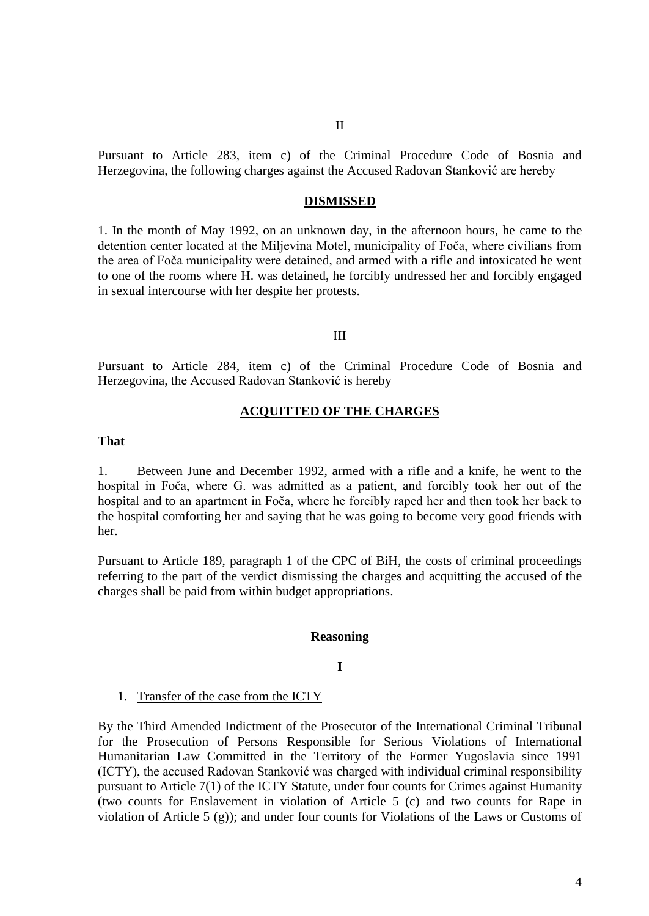Pursuant to Article 283, item c) of the Criminal Procedure Code of Bosnia and Herzegovina, the following charges against the Accused Radovan Stanković are hereby

#### **DISMISSED**

1. In the month of May 1992, on an unknown day, in the afternoon hours, he came to the detention center located at the Miljevina Motel, municipality of Foča, where civilians from the area of Foča municipality were detained, and armed with a rifle and intoxicated he went to one of the rooms where H. was detained, he forcibly undressed her and forcibly engaged in sexual intercourse with her despite her protests.

#### III

Pursuant to Article 284, item c) of the Criminal Procedure Code of Bosnia and Herzegovina, the Accused Radovan Stanković is hereby

### **ACQUITTED OF THE CHARGES**

### **That**

1. Between June and December 1992, armed with a rifle and a knife, he went to the hospital in Foča, where G. was admitted as a patient, and forcibly took her out of the hospital and to an apartment in Foča, where he forcibly raped her and then took her back to the hospital comforting her and saying that he was going to become very good friends with her.

Pursuant to Article 189, paragraph 1 of the CPC of BiH, the costs of criminal proceedings referring to the part of the verdict dismissing the charges and acquitting the accused of the charges shall be paid from within budget appropriations.

#### **Reasoning**

#### **I**

#### 1. Transfer of the case from the ICTY

By the Third Amended Indictment of the Prosecutor of the International Criminal Tribunal for the Prosecution of Persons Responsible for Serious Violations of International Humanitarian Law Committed in the Territory of the Former Yugoslavia since 1991 (ICTY), the accused Radovan Stanković was charged with individual criminal responsibility pursuant to Article 7(1) of the ICTY Statute, under four counts for Crimes against Humanity (two counts for Enslavement in violation of Article 5 (c) and two counts for Rape in violation of Article 5 (g)); and under four counts for Violations of the Laws or Customs of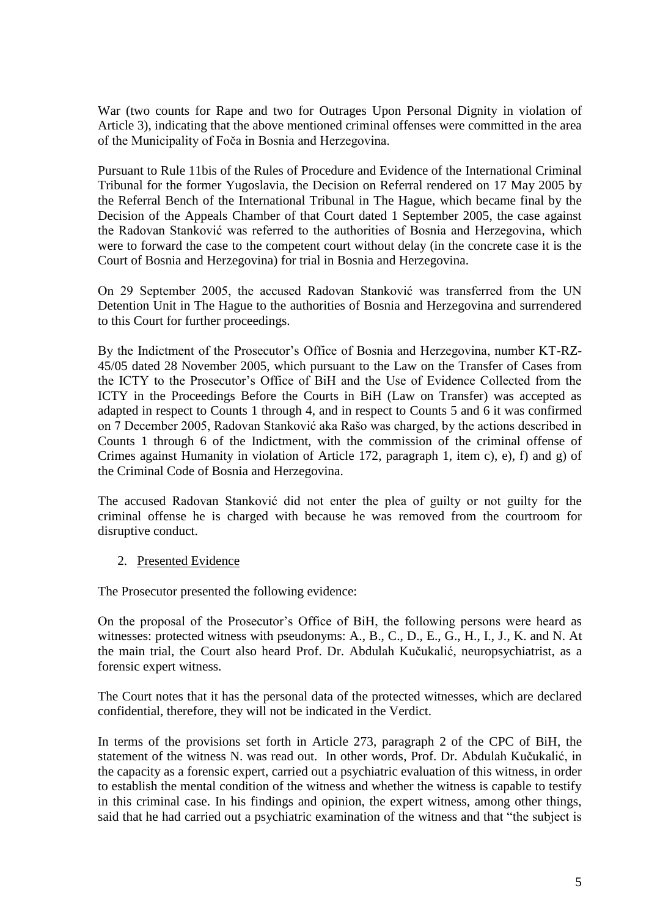War (two counts for Rape and two for Outrages Upon Personal Dignity in violation of Article 3), indicating that the above mentioned criminal offenses were committed in the area of the Municipality of Foča in Bosnia and Herzegovina.

Pursuant to Rule 11bis of the Rules of Procedure and Evidence of the International Criminal Tribunal for the former Yugoslavia, the Decision on Referral rendered on 17 May 2005 by the Referral Bench of the International Tribunal in The Hague, which became final by the Decision of the Appeals Chamber of that Court dated 1 September 2005, the case against the Radovan Stanković was referred to the authorities of Bosnia and Herzegovina, which were to forward the case to the competent court without delay (in the concrete case it is the Court of Bosnia and Herzegovina) for trial in Bosnia and Herzegovina.

On 29 September 2005, the accused Radovan Stanković was transferred from the UN Detention Unit in The Hague to the authorities of Bosnia and Herzegovina and surrendered to this Court for further proceedings.

By the Indictment of the Prosecutor's Office of Bosnia and Herzegovina, number KT-RZ-45/05 dated 28 November 2005, which pursuant to the Law on the Transfer of Cases from the ICTY to the Prosecutor's Office of BiH and the Use of Evidence Collected from the ICTY in the Proceedings Before the Courts in BiH (Law on Transfer) was accepted as adapted in respect to Counts 1 through 4, and in respect to Counts 5 and 6 it was confirmed on 7 December 2005, Radovan Stanković aka Rašo was charged, by the actions described in Counts 1 through 6 of the Indictment, with the commission of the criminal offense of Crimes against Humanity in violation of Article 172, paragraph 1, item c), e), f) and g) of the Criminal Code of Bosnia and Herzegovina.

The accused Radovan Stanković did not enter the plea of guilty or not guilty for the criminal offense he is charged with because he was removed from the courtroom for disruptive conduct.

## 2. Presented Evidence

The Prosecutor presented the following evidence:

On the proposal of the Prosecutor's Office of BiH, the following persons were heard as witnesses: protected witness with pseudonyms: A., B., C., D., E., G., H., I., J., K. and N. At the main trial, the Court also heard Prof. Dr. Abdulah Kučukalić, neuropsychiatrist, as a forensic expert witness.

The Court notes that it has the personal data of the protected witnesses, which are declared confidential, therefore, they will not be indicated in the Verdict.

In terms of the provisions set forth in Article 273, paragraph 2 of the CPC of BiH, the statement of the witness N. was read out. In other words, Prof. Dr. Abdulah Kučukalić, in the capacity as a forensic expert, carried out a psychiatric evaluation of this witness, in order to establish the mental condition of the witness and whether the witness is capable to testify in this criminal case. In his findings and opinion, the expert witness, among other things, said that he had carried out a psychiatric examination of the witness and that "the subject is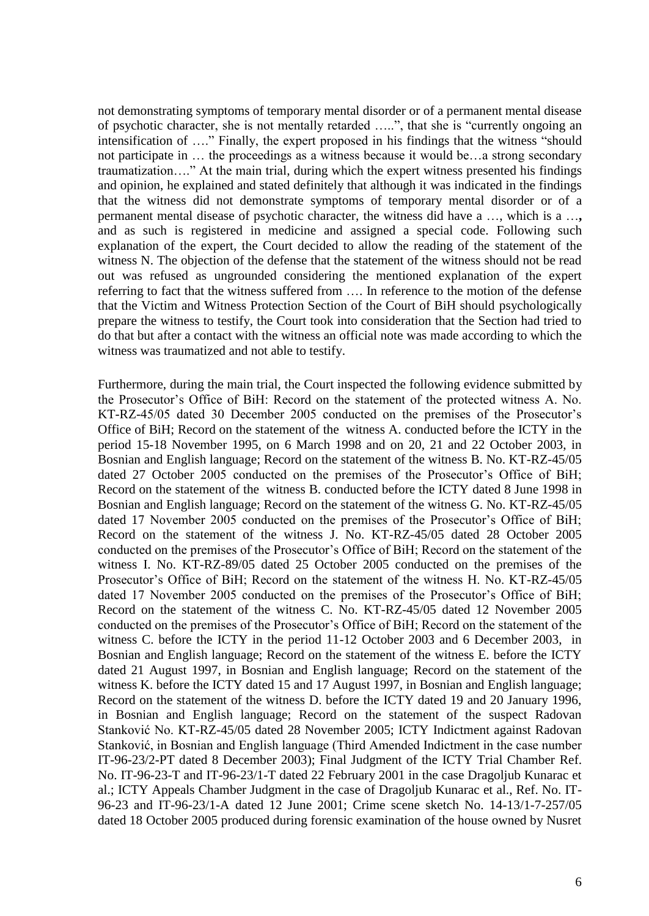not demonstrating symptoms of temporary mental disorder or of a permanent mental disease of psychotic character, she is not mentally retarded …..", that she is "currently ongoing an intensification of …." Finally, the expert proposed in his findings that the witness "should not participate in … the proceedings as a witness because it would be…a strong secondary traumatization…." At the main trial, during which the expert witness presented his findings and opinion, he explained and stated definitely that although it was indicated in the findings that the witness did not demonstrate symptoms of temporary mental disorder or of a permanent mental disease of psychotic character, the witness did have a …, which is a …**,**  and as such is registered in medicine and assigned a special code. Following such explanation of the expert, the Court decided to allow the reading of the statement of the witness N. The objection of the defense that the statement of the witness should not be read out was refused as ungrounded considering the mentioned explanation of the expert referring to fact that the witness suffered from …. In reference to the motion of the defense that the Victim and Witness Protection Section of the Court of BiH should psychologically prepare the witness to testify, the Court took into consideration that the Section had tried to do that but after a contact with the witness an official note was made according to which the witness was traumatized and not able to testify.

Furthermore, during the main trial, the Court inspected the following evidence submitted by the Prosecutor's Office of BiH: Record on the statement of the protected witness A. No. KT-RZ-45/05 dated 30 December 2005 conducted on the premises of the Prosecutor's Office of BiH; Record on the statement of the witness A. conducted before the ICTY in the period 15-18 November 1995, on 6 March 1998 and on 20, 21 and 22 October 2003, in Bosnian and English language; Record on the statement of the witness B. No. KT-RZ-45/05 dated 27 October 2005 conducted on the premises of the Prosecutor's Office of BiH; Record on the statement of the witness B. conducted before the ICTY dated 8 June 1998 in Bosnian and English language; Record on the statement of the witness G. No. KT-RZ-45/05 dated 17 November 2005 conducted on the premises of the Prosecutor's Office of BiH; Record on the statement of the witness J. No. KT-RZ-45/05 dated 28 October 2005 conducted on the premises of the Prosecutor's Office of BiH; Record on the statement of the witness I. No. KT-RZ-89/05 dated 25 October 2005 conducted on the premises of the Prosecutor's Office of BiH; Record on the statement of the witness H. No. KT-RZ-45/05 dated 17 November 2005 conducted on the premises of the Prosecutor's Office of BiH; Record on the statement of the witness C. No. KT-RZ-45/05 dated 12 November 2005 conducted on the premises of the Prosecutor's Office of BiH; Record on the statement of the witness C. before the ICTY in the period 11-12 October 2003 and 6 December 2003, in Bosnian and English language; Record on the statement of the witness E. before the ICTY dated 21 August 1997, in Bosnian and English language; Record on the statement of the witness K. before the ICTY dated 15 and 17 August 1997, in Bosnian and English language; Record on the statement of the witness D. before the ICTY dated 19 and 20 January 1996, in Bosnian and English language; Record on the statement of the suspect Radovan Stanković No. KT-RZ-45/05 dated 28 November 2005; ICTY Indictment against Radovan Stanković, in Bosnian and English language (Third Amended Indictment in the case number IT-96-23/2-PT dated 8 December 2003); Final Judgment of the ICTY Trial Chamber Ref. No. IT-96-23-T and IT-96-23/1-T dated 22 February 2001 in the case Dragoljub Kunarac et al.; ICTY Appeals Chamber Judgment in the case of Dragoljub Kunarac et al., Ref. No. IT-96-23 and IT-96-23/1-A dated 12 June 2001; Crime scene sketch No. 14-13/1-7-257/05 dated 18 October 2005 produced during forensic examination of the house owned by Nusret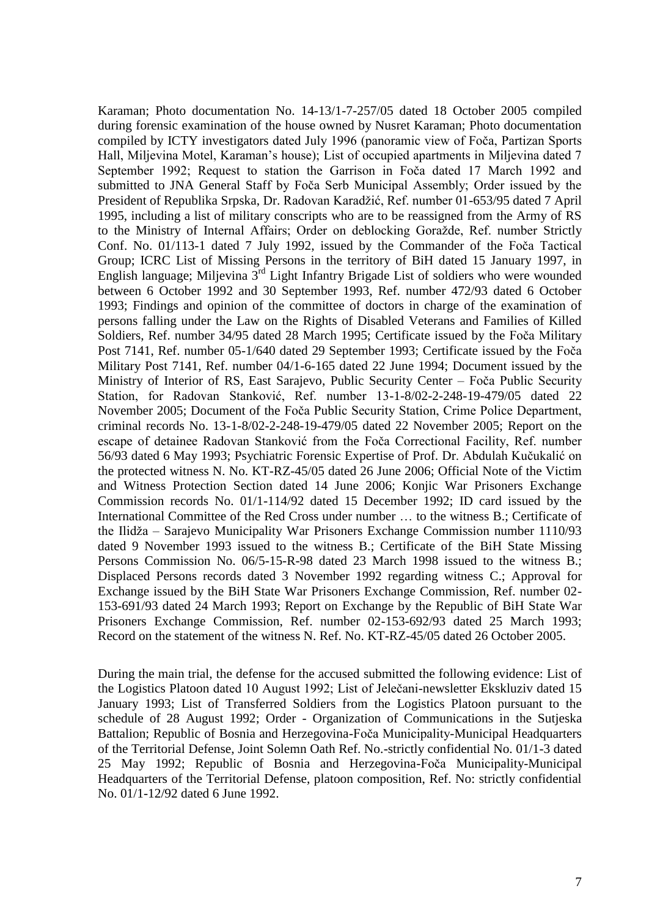Karaman; Photo documentation No. 14-13/1-7-257/05 dated 18 October 2005 compiled during forensic examination of the house owned by Nusret Karaman; Photo documentation compiled by ICTY investigators dated July 1996 (panoramic view of Foča, Partizan Sports Hall, Miljevina Motel, Karaman's house); List of occupied apartments in Miljevina dated 7 September 1992; Request to station the Garrison in Foča dated 17 March 1992 and submitted to JNA General Staff by Foča Serb Municipal Assembly; Order issued by the President of Republika Srpska, Dr. Radovan Karadžić, Ref. number 01-653/95 dated 7 April 1995, including a list of military conscripts who are to be reassigned from the Army of RS to the Ministry of Internal Affairs; Order on deblocking Goražde, Ref. number Strictly Conf. No. 01/113-1 dated 7 July 1992, issued by the Commander of the Foča Tactical Group; ICRC List of Missing Persons in the territory of BiH dated 15 January 1997, in English language; Miljevina 3rd Light Infantry Brigade List of soldiers who were wounded between 6 October 1992 and 30 September 1993, Ref. number 472/93 dated 6 October 1993; Findings and opinion of the committee of doctors in charge of the examination of persons falling under the Law on the Rights of Disabled Veterans and Families of Killed Soldiers, Ref. number 34/95 dated 28 March 1995; Certificate issued by the Foča Military Post 7141, Ref. number 05-1/640 dated 29 September 1993; Certificate issued by the Foča Military Post 7141, Ref. number 04/1-6-165 dated 22 June 1994; Document issued by the Ministry of Interior of RS, East Sarajevo, Public Security Center – Foča Public Security Station, for Radovan Stanković, Ref. number 13-1-8/02-2-248-19-479/05 dated 22 November 2005; Document of the Foča Public Security Station, Crime Police Department, criminal records No. 13-1-8/02-2-248-19-479/05 dated 22 November 2005; Report on the escape of detainee Radovan Stanković from the Foča Correctional Facility, Ref. number 56/93 dated 6 May 1993; Psychiatric Forensic Expertise of Prof. Dr. Abdulah Kučukalić on the protected witness N. No. KT-RZ-45/05 dated 26 June 2006; Official Note of the Victim and Witness Protection Section dated 14 June 2006; Konjic War Prisoners Exchange Commission records No. 01/1-114/92 dated 15 December 1992; ID card issued by the International Committee of the Red Cross under number … to the witness B.; Certificate of the Ilidža – Sarajevo Municipality War Prisoners Exchange Commission number 1110/93 dated 9 November 1993 issued to the witness B.; Certificate of the BiH State Missing Persons Commission No. 06/5-15-R-98 dated 23 March 1998 issued to the witness B.; Displaced Persons records dated 3 November 1992 regarding witness C.; Approval for Exchange issued by the BiH State War Prisoners Exchange Commission, Ref. number 02- 153-691/93 dated 24 March 1993; Report on Exchange by the Republic of BiH State War Prisoners Exchange Commission, Ref. number 02-153-692/93 dated 25 March 1993; Record on the statement of the witness N. Ref. No. KT-RZ-45/05 dated 26 October 2005.

During the main trial, the defense for the accused submitted the following evidence: List of the Logistics Platoon dated 10 August 1992; List of Jelečani-newsletter Ekskluziv dated 15 January 1993; List of Transferred Soldiers from the Logistics Platoon pursuant to the schedule of 28 August 1992; Order - Organization of Communications in the Sutjeska Battalion; Republic of Bosnia and Herzegovina-Foča Municipality-Municipal Headquarters of the Territorial Defense, Joint Solemn Oath Ref. No.-strictly confidential No. 01/1-3 dated 25 May 1992; Republic of Bosnia and Herzegovina-Foča Municipality-Municipal Headquarters of the Territorial Defense, platoon composition, Ref. No: strictly confidential No. 01/1-12/92 dated 6 June 1992.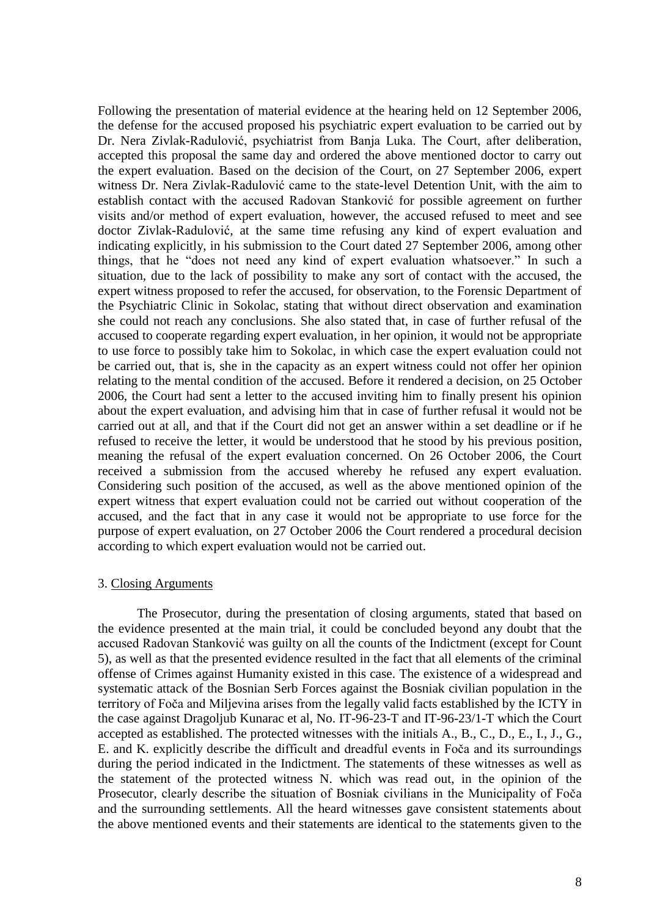Following the presentation of material evidence at the hearing held on 12 September 2006, the defense for the accused proposed his psychiatric expert evaluation to be carried out by Dr. Nera Zivlak-Radulović, psychiatrist from Banja Luka. The Court, after deliberation, accepted this proposal the same day and ordered the above mentioned doctor to carry out the expert evaluation. Based on the decision of the Court, on 27 September 2006, expert witness Dr. Nera Zivlak-Radulović came to the state-level Detention Unit, with the aim to establish contact with the accused Radovan Stanković for possible agreement on further visits and/or method of expert evaluation, however, the accused refused to meet and see doctor Zivlak-Radulović, at the same time refusing any kind of expert evaluation and indicating explicitly, in his submission to the Court dated 27 September 2006, among other things, that he "does not need any kind of expert evaluation whatsoever." In such a situation, due to the lack of possibility to make any sort of contact with the accused, the expert witness proposed to refer the accused, for observation, to the Forensic Department of the Psychiatric Clinic in Sokolac, stating that without direct observation and examination she could not reach any conclusions. She also stated that, in case of further refusal of the accused to cooperate regarding expert evaluation, in her opinion, it would not be appropriate to use force to possibly take him to Sokolac, in which case the expert evaluation could not be carried out, that is, she in the capacity as an expert witness could not offer her opinion relating to the mental condition of the accused. Before it rendered a decision, on 25 October 2006, the Court had sent a letter to the accused inviting him to finally present his opinion about the expert evaluation, and advising him that in case of further refusal it would not be carried out at all, and that if the Court did not get an answer within a set deadline or if he refused to receive the letter, it would be understood that he stood by his previous position, meaning the refusal of the expert evaluation concerned. On 26 October 2006, the Court received a submission from the accused whereby he refused any expert evaluation. Considering such position of the accused, as well as the above mentioned opinion of the expert witness that expert evaluation could not be carried out without cooperation of the accused, and the fact that in any case it would not be appropriate to use force for the purpose of expert evaluation, on 27 October 2006 the Court rendered a procedural decision according to which expert evaluation would not be carried out.

#### 3. Closing Arguments

The Prosecutor, during the presentation of closing arguments, stated that based on the evidence presented at the main trial, it could be concluded beyond any doubt that the accused Radovan Stanković was guilty on all the counts of the Indictment (except for Count 5), as well as that the presented evidence resulted in the fact that all elements of the criminal offense of Crimes against Humanity existed in this case. The existence of a widespread and systematic attack of the Bosnian Serb Forces against the Bosniak civilian population in the territory of Foča and Miljevina arises from the legally valid facts established by the ICTY in the case against Dragoljub Kunarac et al, No. IT-96-23-T and IT-96-23/1-T which the Court accepted as established. The protected witnesses with the initials A., B., C., D., E., I., J., G., E. and K. explicitly describe the difficult and dreadful events in Foča and its surroundings during the period indicated in the Indictment. The statements of these witnesses as well as the statement of the protected witness N. which was read out, in the opinion of the Prosecutor, clearly describe the situation of Bosniak civilians in the Municipality of Foča and the surrounding settlements. All the heard witnesses gave consistent statements about the above mentioned events and their statements are identical to the statements given to the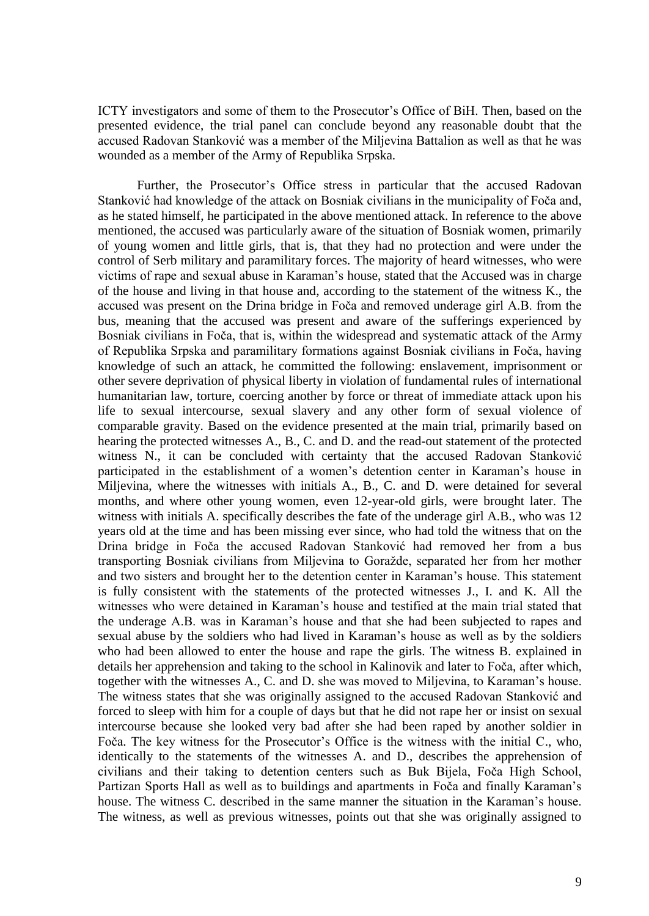ICTY investigators and some of them to the Prosecutor's Office of BiH. Then, based on the presented evidence, the trial panel can conclude beyond any reasonable doubt that the accused Radovan Stanković was a member of the Miljevina Battalion as well as that he was wounded as a member of the Army of Republika Srpska.

Further, the Prosecutor's Office stress in particular that the accused Radovan Stanković had knowledge of the attack on Bosniak civilians in the municipality of Foča and, as he stated himself, he participated in the above mentioned attack. In reference to the above mentioned, the accused was particularly aware of the situation of Bosniak women, primarily of young women and little girls, that is, that they had no protection and were under the control of Serb military and paramilitary forces. The majority of heard witnesses, who were victims of rape and sexual abuse in Karaman's house, stated that the Accused was in charge of the house and living in that house and, according to the statement of the witness K., the accused was present on the Drina bridge in Foča and removed underage girl A.B. from the bus, meaning that the accused was present and aware of the sufferings experienced by Bosniak civilians in Foča, that is, within the widespread and systematic attack of the Army of Republika Srpska and paramilitary formations against Bosniak civilians in Foča, having knowledge of such an attack, he committed the following: enslavement, imprisonment or other severe deprivation of physical liberty in violation of fundamental rules of international humanitarian law, torture, coercing another by force or threat of immediate attack upon his life to sexual intercourse, sexual slavery and any other form of sexual violence of comparable gravity. Based on the evidence presented at the main trial, primarily based on hearing the protected witnesses A., B., C. and D. and the read-out statement of the protected witness N., it can be concluded with certainty that the accused Radovan Stanković participated in the establishment of a women's detention center in Karaman's house in Miljevina, where the witnesses with initials A., B., C. and D. were detained for several months, and where other young women, even 12-year-old girls, were brought later. The witness with initials A. specifically describes the fate of the underage girl A.B., who was 12 years old at the time and has been missing ever since, who had told the witness that on the Drina bridge in Foča the accused Radovan Stanković had removed her from a bus transporting Bosniak civilians from Miljevina to Goražde, separated her from her mother and two sisters and brought her to the detention center in Karaman's house. This statement is fully consistent with the statements of the protected witnesses J., I. and K. All the witnesses who were detained in Karaman's house and testified at the main trial stated that the underage A.B. was in Karaman's house and that she had been subjected to rapes and sexual abuse by the soldiers who had lived in Karaman's house as well as by the soldiers who had been allowed to enter the house and rape the girls. The witness B. explained in details her apprehension and taking to the school in Kalinovik and later to Foča, after which, together with the witnesses A., C. and D. she was moved to Miljevina, to Karaman's house. The witness states that she was originally assigned to the accused Radovan Stanković and forced to sleep with him for a couple of days but that he did not rape her or insist on sexual intercourse because she looked very bad after she had been raped by another soldier in Foča. The key witness for the Prosecutor's Office is the witness with the initial C., who, identically to the statements of the witnesses A. and D., describes the apprehension of civilians and their taking to detention centers such as Buk Bijela, Foča High School, Partizan Sports Hall as well as to buildings and apartments in Foča and finally Karaman's house. The witness C. described in the same manner the situation in the Karaman's house. The witness, as well as previous witnesses, points out that she was originally assigned to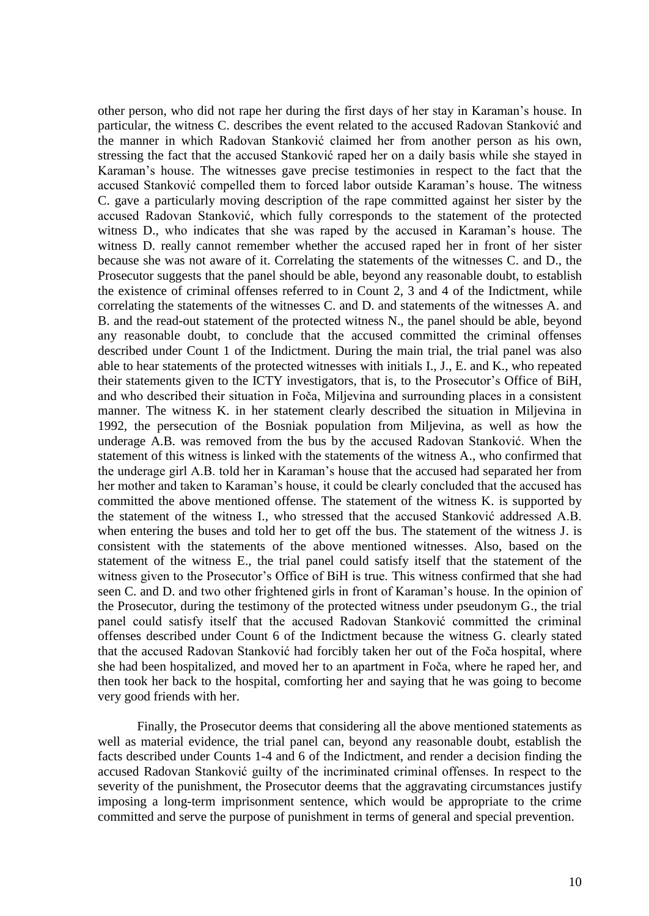other person, who did not rape her during the first days of her stay in Karaman's house. In particular, the witness C. describes the event related to the accused Radovan Stanković and the manner in which Radovan Stanković claimed her from another person as his own, stressing the fact that the accused Stanković raped her on a daily basis while she stayed in Karaman's house. The witnesses gave precise testimonies in respect to the fact that the accused Stanković compelled them to forced labor outside Karaman's house. The witness C. gave a particularly moving description of the rape committed against her sister by the accused Radovan Stanković, which fully corresponds to the statement of the protected witness D., who indicates that she was raped by the accused in Karaman's house. The witness D. really cannot remember whether the accused raped her in front of her sister because she was not aware of it. Correlating the statements of the witnesses C. and D., the Prosecutor suggests that the panel should be able, beyond any reasonable doubt, to establish the existence of criminal offenses referred to in Count 2, 3 and 4 of the Indictment, while correlating the statements of the witnesses C. and D. and statements of the witnesses A. and B. and the read-out statement of the protected witness N., the panel should be able, beyond any reasonable doubt, to conclude that the accused committed the criminal offenses described under Count 1 of the Indictment. During the main trial, the trial panel was also able to hear statements of the protected witnesses with initials I., J., E. and K., who repeated their statements given to the ICTY investigators, that is, to the Prosecutor's Office of BiH, and who described their situation in Foča, Miljevina and surrounding places in a consistent manner. The witness K. in her statement clearly described the situation in Miljevina in 1992, the persecution of the Bosniak population from Miljevina, as well as how the underage A.B. was removed from the bus by the accused Radovan Stanković. When the statement of this witness is linked with the statements of the witness A., who confirmed that the underage girl A.B. told her in Karaman's house that the accused had separated her from her mother and taken to Karaman's house, it could be clearly concluded that the accused has committed the above mentioned offense. The statement of the witness K. is supported by the statement of the witness I., who stressed that the accused Stanković addressed A.B. when entering the buses and told her to get off the bus. The statement of the witness J. is consistent with the statements of the above mentioned witnesses. Also, based on the statement of the witness E., the trial panel could satisfy itself that the statement of the witness given to the Prosecutor's Office of BiH is true. This witness confirmed that she had seen C. and D. and two other frightened girls in front of Karaman's house. In the opinion of the Prosecutor, during the testimony of the protected witness under pseudonym G., the trial panel could satisfy itself that the accused Radovan Stanković committed the criminal offenses described under Count 6 of the Indictment because the witness G. clearly stated that the accused Radovan Stanković had forcibly taken her out of the Foča hospital, where she had been hospitalized, and moved her to an apartment in Foča, where he raped her, and then took her back to the hospital, comforting her and saying that he was going to become very good friends with her.

Finally, the Prosecutor deems that considering all the above mentioned statements as well as material evidence, the trial panel can, beyond any reasonable doubt, establish the facts described under Counts 1-4 and 6 of the Indictment, and render a decision finding the accused Radovan Stanković guilty of the incriminated criminal offenses. In respect to the severity of the punishment, the Prosecutor deems that the aggravating circumstances justify imposing a long-term imprisonment sentence, which would be appropriate to the crime committed and serve the purpose of punishment in terms of general and special prevention.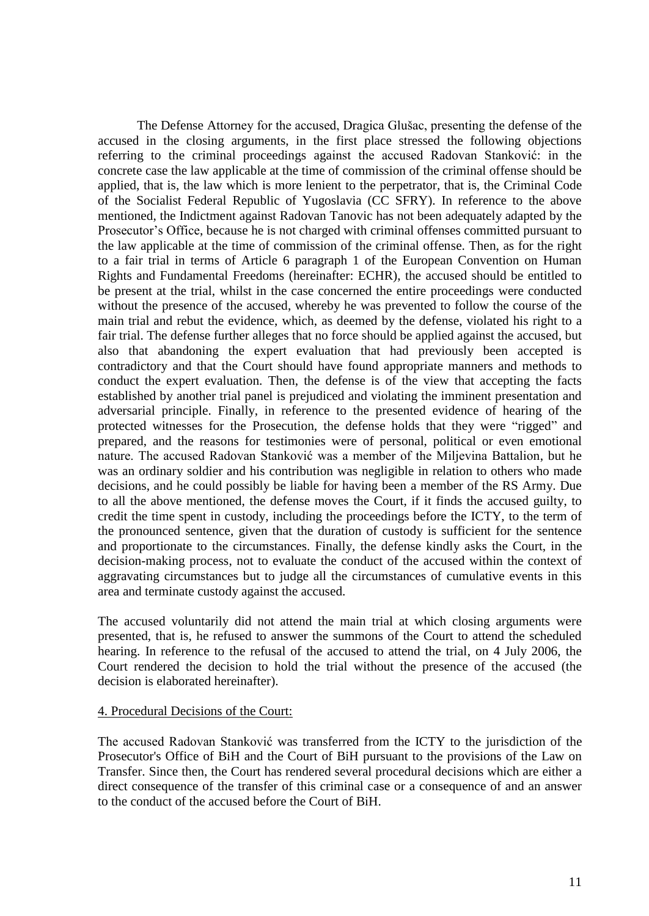The Defense Attorney for the accused, Dragica Glušac, presenting the defense of the accused in the closing arguments, in the first place stressed the following objections referring to the criminal proceedings against the accused Radovan Stanković: in the concrete case the law applicable at the time of commission of the criminal offense should be applied, that is, the law which is more lenient to the perpetrator, that is, the Criminal Code of the Socialist Federal Republic of Yugoslavia (CC SFRY). In reference to the above mentioned, the Indictment against Radovan Tanovic has not been adequately adapted by the Prosecutor's Office, because he is not charged with criminal offenses committed pursuant to the law applicable at the time of commission of the criminal offense. Then, as for the right to a fair trial in terms of Article 6 paragraph 1 of the European Convention on Human Rights and Fundamental Freedoms (hereinafter: ECHR), the accused should be entitled to be present at the trial, whilst in the case concerned the entire proceedings were conducted without the presence of the accused, whereby he was prevented to follow the course of the main trial and rebut the evidence, which, as deemed by the defense, violated his right to a fair trial. The defense further alleges that no force should be applied against the accused, but also that abandoning the expert evaluation that had previously been accepted is contradictory and that the Court should have found appropriate manners and methods to conduct the expert evaluation. Then, the defense is of the view that accepting the facts established by another trial panel is prejudiced and violating the imminent presentation and adversarial principle. Finally, in reference to the presented evidence of hearing of the protected witnesses for the Prosecution, the defense holds that they were "rigged" and prepared, and the reasons for testimonies were of personal, political or even emotional nature. The accused Radovan Stanković was a member of the Miljevina Battalion, but he was an ordinary soldier and his contribution was negligible in relation to others who made decisions, and he could possibly be liable for having been a member of the RS Army. Due to all the above mentioned, the defense moves the Court, if it finds the accused guilty, to credit the time spent in custody, including the proceedings before the ICTY, to the term of the pronounced sentence, given that the duration of custody is sufficient for the sentence and proportionate to the circumstances. Finally, the defense kindly asks the Court, in the decision-making process, not to evaluate the conduct of the accused within the context of aggravating circumstances but to judge all the circumstances of cumulative events in this area and terminate custody against the accused.

The accused voluntarily did not attend the main trial at which closing arguments were presented, that is, he refused to answer the summons of the Court to attend the scheduled hearing. In reference to the refusal of the accused to attend the trial, on 4 July 2006, the Court rendered the decision to hold the trial without the presence of the accused (the decision is elaborated hereinafter).

#### 4. Procedural Decisions of the Court:

The accused Radovan Stanković was transferred from the ICTY to the jurisdiction of the Prosecutor's Office of BiH and the Court of BiH pursuant to the provisions of the Law on Transfer. Since then, the Court has rendered several procedural decisions which are either a direct consequence of the transfer of this criminal case or a consequence of and an answer to the conduct of the accused before the Court of BiH.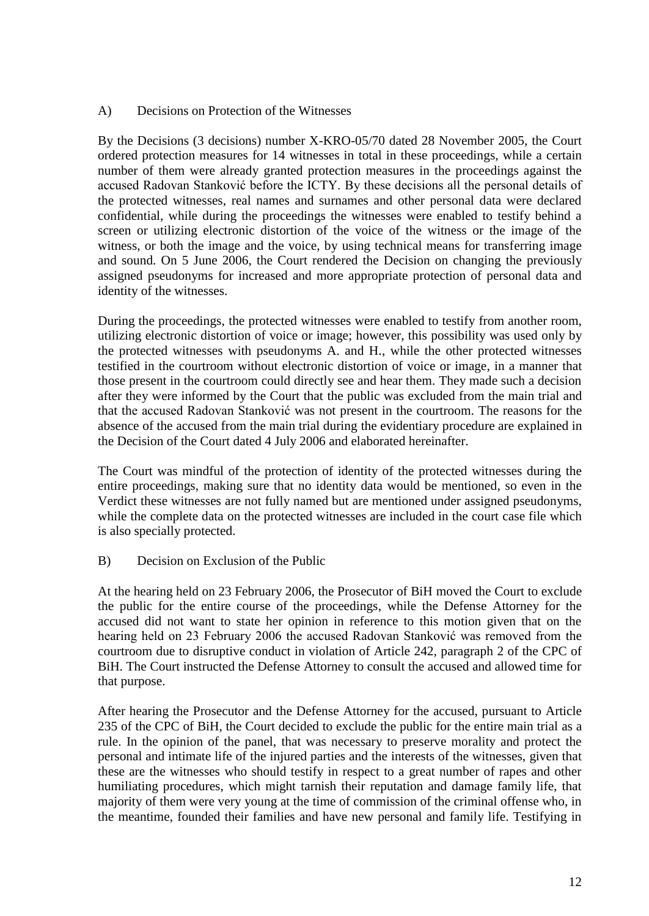# A) Decisions on Protection of the Witnesses

By the Decisions (3 decisions) number X-KRO-05/70 dated 28 November 2005, the Court ordered protection measures for 14 witnesses in total in these proceedings, while a certain number of them were already granted protection measures in the proceedings against the accused Radovan Stanković before the ICTY. By these decisions all the personal details of the protected witnesses, real names and surnames and other personal data were declared confidential, while during the proceedings the witnesses were enabled to testify behind a screen or utilizing electronic distortion of the voice of the witness or the image of the witness, or both the image and the voice, by using technical means for transferring image and sound. On 5 June 2006, the Court rendered the Decision on changing the previously assigned pseudonyms for increased and more appropriate protection of personal data and identity of the witnesses.

During the proceedings, the protected witnesses were enabled to testify from another room, utilizing electronic distortion of voice or image; however, this possibility was used only by the protected witnesses with pseudonyms A. and H., while the other protected witnesses testified in the courtroom without electronic distortion of voice or image, in a manner that those present in the courtroom could directly see and hear them. They made such a decision after they were informed by the Court that the public was excluded from the main trial and that the accused Radovan Stanković was not present in the courtroom. The reasons for the absence of the accused from the main trial during the evidentiary procedure are explained in the Decision of the Court dated 4 July 2006 and elaborated hereinafter.

The Court was mindful of the protection of identity of the protected witnesses during the entire proceedings, making sure that no identity data would be mentioned, so even in the Verdict these witnesses are not fully named but are mentioned under assigned pseudonyms, while the complete data on the protected witnesses are included in the court case file which is also specially protected.

B) Decision on Exclusion of the Public

At the hearing held on 23 February 2006, the Prosecutor of BiH moved the Court to exclude the public for the entire course of the proceedings, while the Defense Attorney for the accused did not want to state her opinion in reference to this motion given that on the hearing held on 23 February 2006 the accused Radovan Stanković was removed from the courtroom due to disruptive conduct in violation of Article 242, paragraph 2 of the CPC of BiH. The Court instructed the Defense Attorney to consult the accused and allowed time for that purpose.

After hearing the Prosecutor and the Defense Attorney for the accused, pursuant to Article 235 of the CPC of BiH, the Court decided to exclude the public for the entire main trial as a rule. In the opinion of the panel, that was necessary to preserve morality and protect the personal and intimate life of the injured parties and the interests of the witnesses, given that these are the witnesses who should testify in respect to a great number of rapes and other humiliating procedures, which might tarnish their reputation and damage family life, that majority of them were very young at the time of commission of the criminal offense who, in the meantime, founded their families and have new personal and family life. Testifying in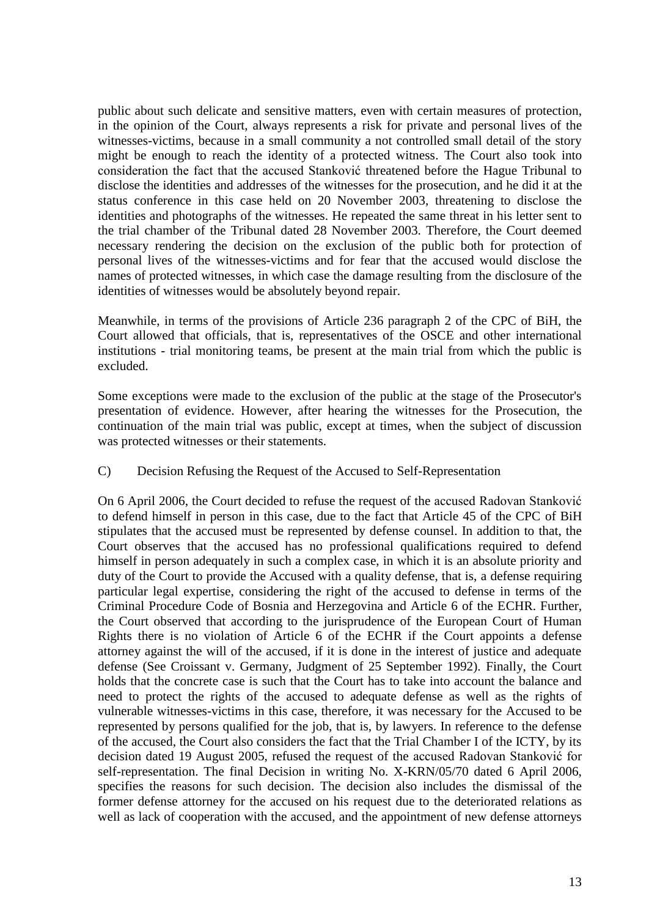public about such delicate and sensitive matters, even with certain measures of protection, in the opinion of the Court, always represents a risk for private and personal lives of the witnesses-victims, because in a small community a not controlled small detail of the story might be enough to reach the identity of a protected witness. The Court also took into consideration the fact that the accused Stanković threatened before the Hague Tribunal to disclose the identities and addresses of the witnesses for the prosecution, and he did it at the status conference in this case held on 20 November 2003, threatening to disclose the identities and photographs of the witnesses. He repeated the same threat in his letter sent to the trial chamber of the Tribunal dated 28 November 2003. Therefore, the Court deemed necessary rendering the decision on the exclusion of the public both for protection of personal lives of the witnesses-victims and for fear that the accused would disclose the names of protected witnesses, in which case the damage resulting from the disclosure of the identities of witnesses would be absolutely beyond repair.

Meanwhile, in terms of the provisions of Article 236 paragraph 2 of the CPC of BiH, the Court allowed that officials, that is, representatives of the OSCE and other international institutions - trial monitoring teams, be present at the main trial from which the public is excluded.

Some exceptions were made to the exclusion of the public at the stage of the Prosecutor's presentation of evidence. However, after hearing the witnesses for the Prosecution, the continuation of the main trial was public, except at times, when the subject of discussion was protected witnesses or their statements.

# C) Decision Refusing the Request of the Accused to Self-Representation

On 6 April 2006, the Court decided to refuse the request of the accused Radovan Stanković to defend himself in person in this case, due to the fact that Article 45 of the CPC of BiH stipulates that the accused must be represented by defense counsel. In addition to that, the Court observes that the accused has no professional qualifications required to defend himself in person adequately in such a complex case, in which it is an absolute priority and duty of the Court to provide the Accused with a quality defense, that is, a defense requiring particular legal expertise, considering the right of the accused to defense in terms of the Criminal Procedure Code of Bosnia and Herzegovina and Article 6 of the ECHR. Further, the Court observed that according to the jurisprudence of the European Court of Human Rights there is no violation of Article 6 of the ECHR if the Court appoints a defense attorney against the will of the accused, if it is done in the interest of justice and adequate defense (See Croissant v. Germany, Judgment of 25 September 1992). Finally, the Court holds that the concrete case is such that the Court has to take into account the balance and need to protect the rights of the accused to adequate defense as well as the rights of vulnerable witnesses-victims in this case, therefore, it was necessary for the Accused to be represented by persons qualified for the job, that is, by lawyers. In reference to the defense of the accused, the Court also considers the fact that the Trial Chamber I of the ICTY, by its decision dated 19 August 2005, refused the request of the accused Radovan Stanković for self-representation. The final Decision in writing No. X-KRN/05/70 dated 6 April 2006, specifies the reasons for such decision. The decision also includes the dismissal of the former defense attorney for the accused on his request due to the deteriorated relations as well as lack of cooperation with the accused, and the appointment of new defense attorneys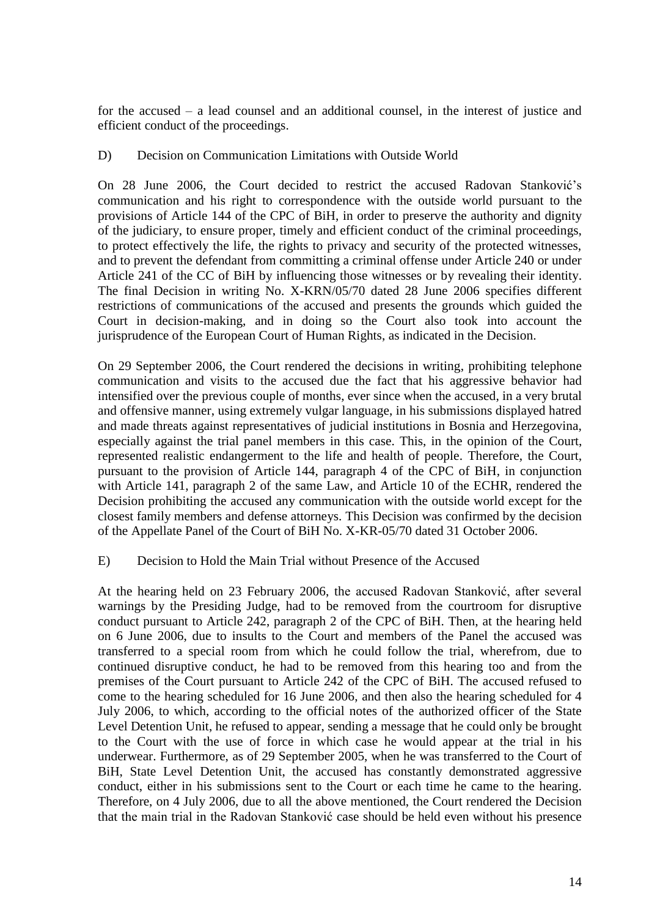for the accused – a lead counsel and an additional counsel, in the interest of justice and efficient conduct of the proceedings.

# D) Decision on Communication Limitations with Outside World

On 28 June 2006, the Court decided to restrict the accused Radovan Stanković's communication and his right to correspondence with the outside world pursuant to the provisions of Article 144 of the CPC of BiH, in order to preserve the authority and dignity of the judiciary, to ensure proper, timely and efficient conduct of the criminal proceedings, to protect effectively the life, the rights to privacy and security of the protected witnesses, and to prevent the defendant from committing a criminal offense under Article 240 or under Article 241 of the CC of BiH by influencing those witnesses or by revealing their identity. The final Decision in writing No. X-KRN/05/70 dated 28 June 2006 specifies different restrictions of communications of the accused and presents the grounds which guided the Court in decision-making, and in doing so the Court also took into account the jurisprudence of the European Court of Human Rights, as indicated in the Decision.

On 29 September 2006, the Court rendered the decisions in writing, prohibiting telephone communication and visits to the accused due the fact that his aggressive behavior had intensified over the previous couple of months, ever since when the accused, in a very brutal and offensive manner, using extremely vulgar language, in his submissions displayed hatred and made threats against representatives of judicial institutions in Bosnia and Herzegovina, especially against the trial panel members in this case. This, in the opinion of the Court, represented realistic endangerment to the life and health of people. Therefore, the Court, pursuant to the provision of Article 144, paragraph 4 of the CPC of BiH, in conjunction with Article 141, paragraph 2 of the same Law, and Article 10 of the ECHR, rendered the Decision prohibiting the accused any communication with the outside world except for the closest family members and defense attorneys. This Decision was confirmed by the decision of the Appellate Panel of the Court of BiH No. X-KR-05/70 dated 31 October 2006.

## E) Decision to Hold the Main Trial without Presence of the Accused

At the hearing held on 23 February 2006, the accused Radovan Stanković, after several warnings by the Presiding Judge, had to be removed from the courtroom for disruptive conduct pursuant to Article 242, paragraph 2 of the CPC of BiH. Then, at the hearing held on 6 June 2006, due to insults to the Court and members of the Panel the accused was transferred to a special room from which he could follow the trial, wherefrom, due to continued disruptive conduct, he had to be removed from this hearing too and from the premises of the Court pursuant to Article 242 of the CPC of BiH. The accused refused to come to the hearing scheduled for 16 June 2006, and then also the hearing scheduled for 4 July 2006, to which, according to the official notes of the authorized officer of the State Level Detention Unit, he refused to appear, sending a message that he could only be brought to the Court with the use of force in which case he would appear at the trial in his underwear. Furthermore, as of 29 September 2005, when he was transferred to the Court of BiH, State Level Detention Unit, the accused has constantly demonstrated aggressive conduct, either in his submissions sent to the Court or each time he came to the hearing. Therefore, on 4 July 2006, due to all the above mentioned, the Court rendered the Decision that the main trial in the Radovan Stanković case should be held even without his presence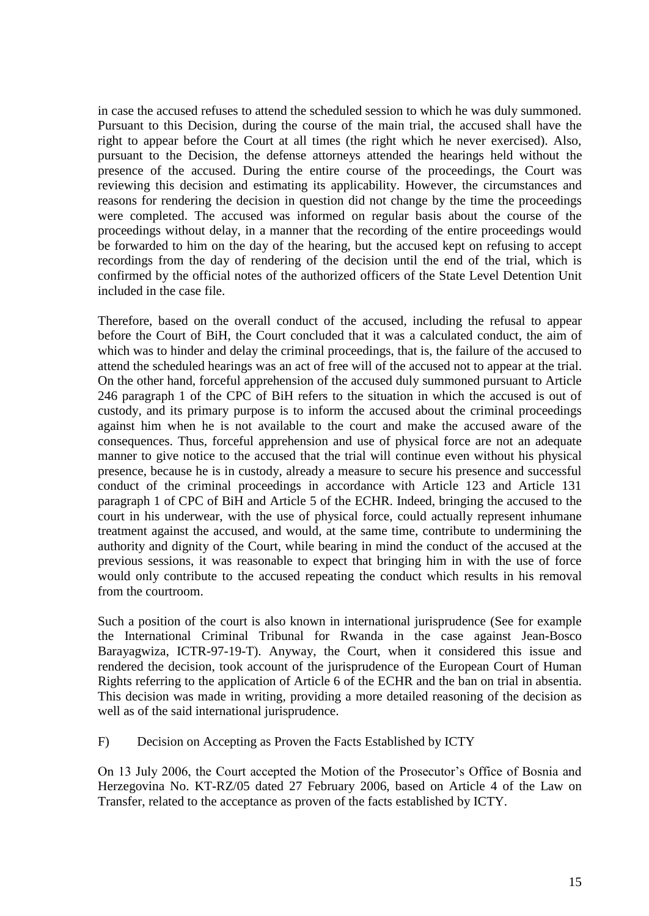in case the accused refuses to attend the scheduled session to which he was duly summoned. Pursuant to this Decision, during the course of the main trial, the accused shall have the right to appear before the Court at all times (the right which he never exercised). Also, pursuant to the Decision, the defense attorneys attended the hearings held without the presence of the accused. During the entire course of the proceedings, the Court was reviewing this decision and estimating its applicability. However, the circumstances and reasons for rendering the decision in question did not change by the time the proceedings were completed. The accused was informed on regular basis about the course of the proceedings without delay, in a manner that the recording of the entire proceedings would be forwarded to him on the day of the hearing, but the accused kept on refusing to accept recordings from the day of rendering of the decision until the end of the trial, which is confirmed by the official notes of the authorized officers of the State Level Detention Unit included in the case file.

Therefore, based on the overall conduct of the accused, including the refusal to appear before the Court of BiH, the Court concluded that it was a calculated conduct, the aim of which was to hinder and delay the criminal proceedings, that is, the failure of the accused to attend the scheduled hearings was an act of free will of the accused not to appear at the trial. On the other hand, forceful apprehension of the accused duly summoned pursuant to Article 246 paragraph 1 of the CPC of BiH refers to the situation in which the accused is out of custody, and its primary purpose is to inform the accused about the criminal proceedings against him when he is not available to the court and make the accused aware of the consequences. Thus, forceful apprehension and use of physical force are not an adequate manner to give notice to the accused that the trial will continue even without his physical presence, because he is in custody, already a measure to secure his presence and successful conduct of the criminal proceedings in accordance with Article 123 and Article 131 paragraph 1 of CPC of BiH and Article 5 of the ECHR. Indeed, bringing the accused to the court in his underwear, with the use of physical force, could actually represent inhumane treatment against the accused, and would, at the same time, contribute to undermining the authority and dignity of the Court, while bearing in mind the conduct of the accused at the previous sessions, it was reasonable to expect that bringing him in with the use of force would only contribute to the accused repeating the conduct which results in his removal from the courtroom.

Such a position of the court is also known in international jurisprudence (See for example the International Criminal Tribunal for Rwanda in the case against Jean-Bosco Barayagwiza, ICTR-97-19-T). Anyway, the Court, when it considered this issue and rendered the decision, took account of the jurisprudence of the European Court of Human Rights referring to the application of Article 6 of the ECHR and the ban on trial in absentia. This decision was made in writing, providing a more detailed reasoning of the decision as well as of the said international jurisprudence.

F) Decision on Accepting as Proven the Facts Established by ICTY

On 13 July 2006, the Court accepted the Motion of the Prosecutor's Office of Bosnia and Herzegovina No. KT-RZ/05 dated 27 February 2006, based on Article 4 of the Law on Transfer, related to the acceptance as proven of the facts established by ICTY.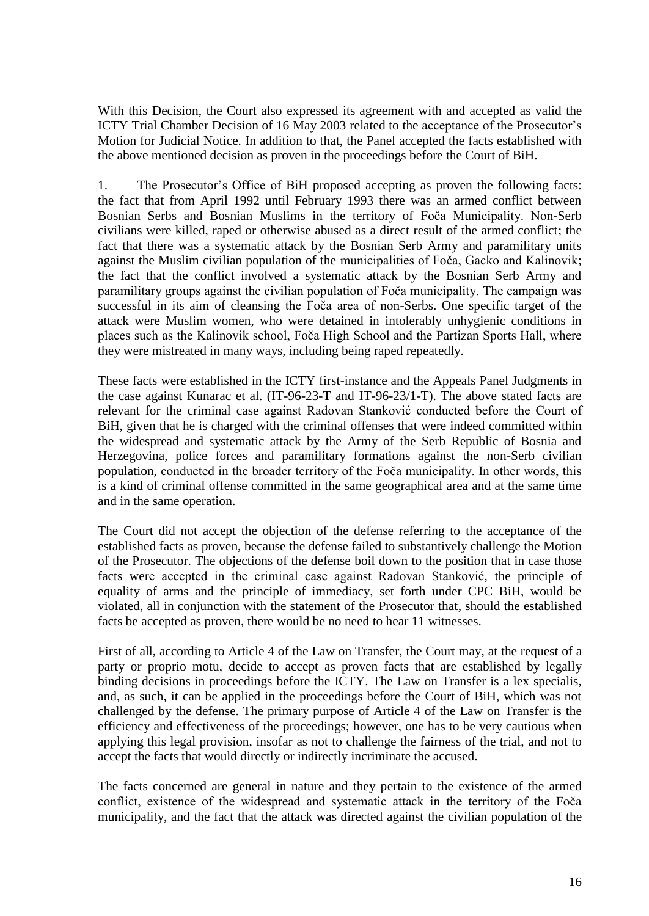With this Decision, the Court also expressed its agreement with and accepted as valid the ICTY Trial Chamber Decision of 16 May 2003 related to the acceptance of the Prosecutor's Motion for Judicial Notice. In addition to that, the Panel accepted the facts established with the above mentioned decision as proven in the proceedings before the Court of BiH.

1. The Prosecutor's Office of BiH proposed accepting as proven the following facts: the fact that from April 1992 until February 1993 there was an armed conflict between Bosnian Serbs and Bosnian Muslims in the territory of Foča Municipality. Non-Serb civilians were killed, raped or otherwise abused as a direct result of the armed conflict; the fact that there was a systematic attack by the Bosnian Serb Army and paramilitary units against the Muslim civilian population of the municipalities of Foča, Gacko and Kalinovik; the fact that the conflict involved a systematic attack by the Bosnian Serb Army and paramilitary groups against the civilian population of Foča municipality. The campaign was successful in its aim of cleansing the Foča area of non-Serbs. One specific target of the attack were Muslim women, who were detained in intolerably unhygienic conditions in places such as the Kalinovik school, Foča High School and the Partizan Sports Hall, where they were mistreated in many ways, including being raped repeatedly.

These facts were established in the ICTY first-instance and the Appeals Panel Judgments in the case against Kunarac et al. (IT-96-23-T and IT-96-23/1-T). The above stated facts are relevant for the criminal case against Radovan Stanković conducted before the Court of BiH, given that he is charged with the criminal offenses that were indeed committed within the widespread and systematic attack by the Army of the Serb Republic of Bosnia and Herzegovina, police forces and paramilitary formations against the non-Serb civilian population, conducted in the broader territory of the Foča municipality. In other words, this is a kind of criminal offense committed in the same geographical area and at the same time and in the same operation.

The Court did not accept the objection of the defense referring to the acceptance of the established facts as proven, because the defense failed to substantively challenge the Motion of the Prosecutor. The objections of the defense boil down to the position that in case those facts were accepted in the criminal case against Radovan Stanković, the principle of equality of arms and the principle of immediacy, set forth under CPC BiH, would be violated, all in conjunction with the statement of the Prosecutor that, should the established facts be accepted as proven, there would be no need to hear 11 witnesses.

First of all, according to Article 4 of the Law on Transfer, the Court may, at the request of a party or proprio motu, decide to accept as proven facts that are established by legally binding decisions in proceedings before the ICTY. The Law on Transfer is a lex specialis, and, as such, it can be applied in the proceedings before the Court of BiH, which was not challenged by the defense. The primary purpose of Article 4 of the Law on Transfer is the efficiency and effectiveness of the proceedings; however, one has to be very cautious when applying this legal provision, insofar as not to challenge the fairness of the trial, and not to accept the facts that would directly or indirectly incriminate the accused.

The facts concerned are general in nature and they pertain to the existence of the armed conflict, existence of the widespread and systematic attack in the territory of the Foča municipality, and the fact that the attack was directed against the civilian population of the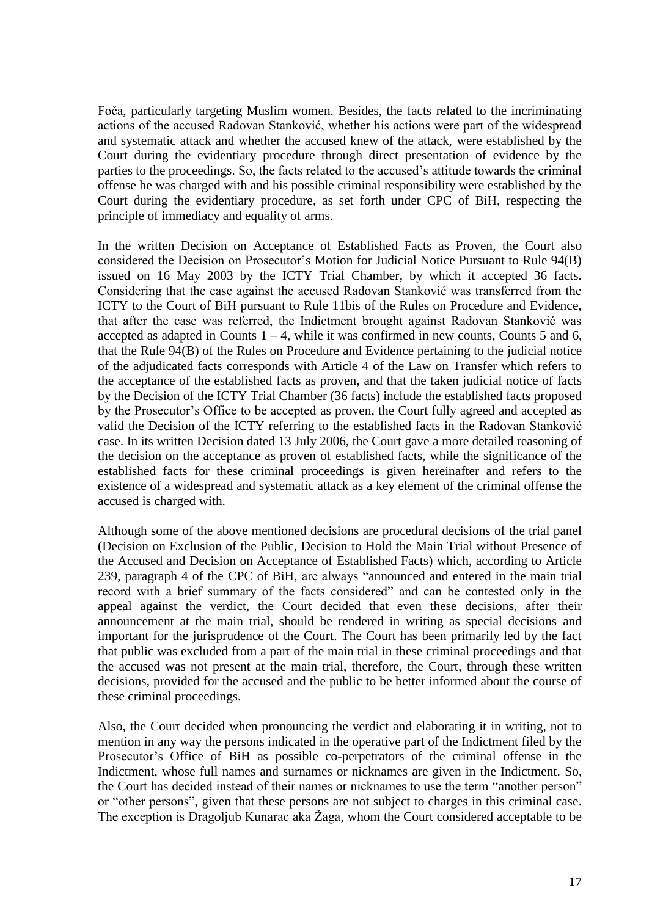Foča, particularly targeting Muslim women. Besides, the facts related to the incriminating actions of the accused Radovan Stanković, whether his actions were part of the widespread and systematic attack and whether the accused knew of the attack, were established by the Court during the evidentiary procedure through direct presentation of evidence by the parties to the proceedings. So, the facts related to the accused's attitude towards the criminal offense he was charged with and his possible criminal responsibility were established by the Court during the evidentiary procedure, as set forth under CPC of BiH, respecting the principle of immediacy and equality of arms.

In the written Decision on Acceptance of Established Facts as Proven, the Court also considered the Decision on Prosecutor's Motion for Judicial Notice Pursuant to Rule 94(B) issued on 16 May 2003 by the ICTY Trial Chamber, by which it accepted 36 facts. Considering that the case against the accused Radovan Stanković was transferred from the ICTY to the Court of BiH pursuant to Rule 11bis of the Rules on Procedure and Evidence, that after the case was referred, the Indictment brought against Radovan Stanković was accepted as adapted in Counts  $1 - 4$ , while it was confirmed in new counts, Counts 5 and 6, that the Rule 94(B) of the Rules on Procedure and Evidence pertaining to the judicial notice of the adjudicated facts corresponds with Article 4 of the Law on Transfer which refers to the acceptance of the established facts as proven, and that the taken judicial notice of facts by the Decision of the ICTY Trial Chamber (36 facts) include the established facts proposed by the Prosecutor's Office to be accepted as proven, the Court fully agreed and accepted as valid the Decision of the ICTY referring to the established facts in the Radovan Stanković case. In its written Decision dated 13 July 2006, the Court gave a more detailed reasoning of the decision on the acceptance as proven of established facts, while the significance of the established facts for these criminal proceedings is given hereinafter and refers to the existence of a widespread and systematic attack as a key element of the criminal offense the accused is charged with.

Although some of the above mentioned decisions are procedural decisions of the trial panel (Decision on Exclusion of the Public, Decision to Hold the Main Trial without Presence of the Accused and Decision on Acceptance of Established Facts) which, according to Article 239, paragraph 4 of the CPC of BiH, are always "announced and entered in the main trial record with a brief summary of the facts considered" and can be contested only in the appeal against the verdict, the Court decided that even these decisions, after their announcement at the main trial, should be rendered in writing as special decisions and important for the jurisprudence of the Court. The Court has been primarily led by the fact that public was excluded from a part of the main trial in these criminal proceedings and that the accused was not present at the main trial, therefore, the Court, through these written decisions, provided for the accused and the public to be better informed about the course of these criminal proceedings.

Also, the Court decided when pronouncing the verdict and elaborating it in writing, not to mention in any way the persons indicated in the operative part of the Indictment filed by the Prosecutor's Office of BiH as possible co-perpetrators of the criminal offense in the Indictment, whose full names and surnames or nicknames are given in the Indictment. So, the Court has decided instead of their names or nicknames to use the term "another person" or "other persons", given that these persons are not subject to charges in this criminal case. The exception is Dragoljub Kunarac aka Žaga, whom the Court considered acceptable to be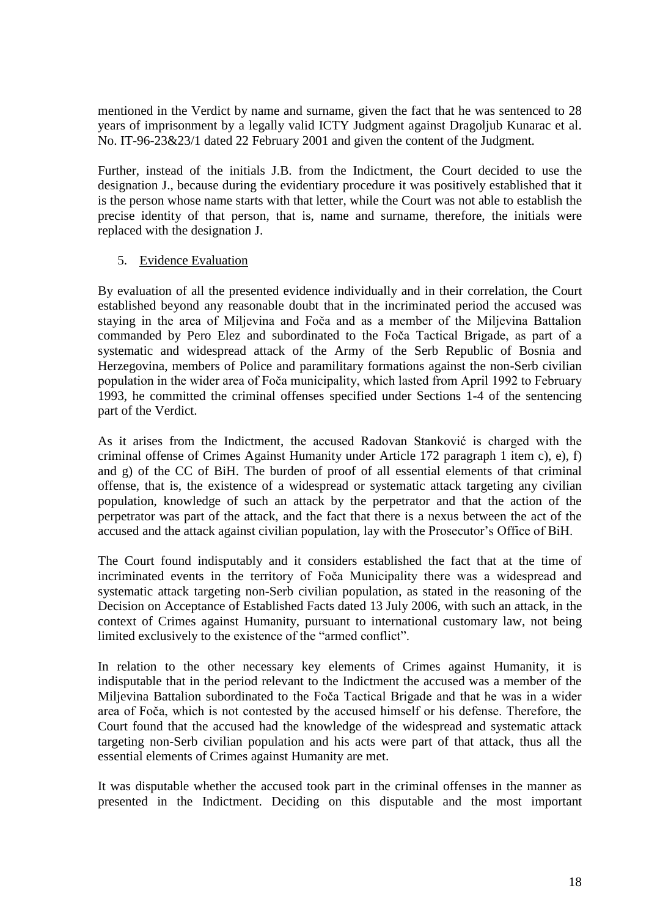mentioned in the Verdict by name and surname, given the fact that he was sentenced to 28 years of imprisonment by a legally valid ICTY Judgment against Dragoljub Kunarac et al. No. IT-96-23&23/1 dated 22 February 2001 and given the content of the Judgment.

Further, instead of the initials J.B. from the Indictment, the Court decided to use the designation J., because during the evidentiary procedure it was positively established that it is the person whose name starts with that letter, while the Court was not able to establish the precise identity of that person, that is, name and surname, therefore, the initials were replaced with the designation J.

# 5. Evidence Evaluation

By evaluation of all the presented evidence individually and in their correlation, the Court established beyond any reasonable doubt that in the incriminated period the accused was staying in the area of Miljevina and Foča and as a member of the Miljevina Battalion commanded by Pero Elez and subordinated to the Foča Tactical Brigade, as part of a systematic and widespread attack of the Army of the Serb Republic of Bosnia and Herzegovina, members of Police and paramilitary formations against the non-Serb civilian population in the wider area of Foča municipality, which lasted from April 1992 to February 1993, he committed the criminal offenses specified under Sections 1-4 of the sentencing part of the Verdict.

As it arises from the Indictment, the accused Radovan Stanković is charged with the criminal offense of Crimes Against Humanity under Article 172 paragraph 1 item c), e), f) and g) of the CC of BiH. The burden of proof of all essential elements of that criminal offense, that is, the existence of a widespread or systematic attack targeting any civilian population, knowledge of such an attack by the perpetrator and that the action of the perpetrator was part of the attack, and the fact that there is a nexus between the act of the accused and the attack against civilian population, lay with the Prosecutor's Office of BiH.

The Court found indisputably and it considers established the fact that at the time of incriminated events in the territory of Foča Municipality there was a widespread and systematic attack targeting non-Serb civilian population, as stated in the reasoning of the Decision on Acceptance of Established Facts dated 13 July 2006, with such an attack, in the context of Crimes against Humanity, pursuant to international customary law, not being limited exclusively to the existence of the "armed conflict".

In relation to the other necessary key elements of Crimes against Humanity, it is indisputable that in the period relevant to the Indictment the accused was a member of the Miljevina Battalion subordinated to the Foča Tactical Brigade and that he was in a wider area of Foča, which is not contested by the accused himself or his defense. Therefore, the Court found that the accused had the knowledge of the widespread and systematic attack targeting non-Serb civilian population and his acts were part of that attack, thus all the essential elements of Crimes against Humanity are met.

It was disputable whether the accused took part in the criminal offenses in the manner as presented in the Indictment. Deciding on this disputable and the most important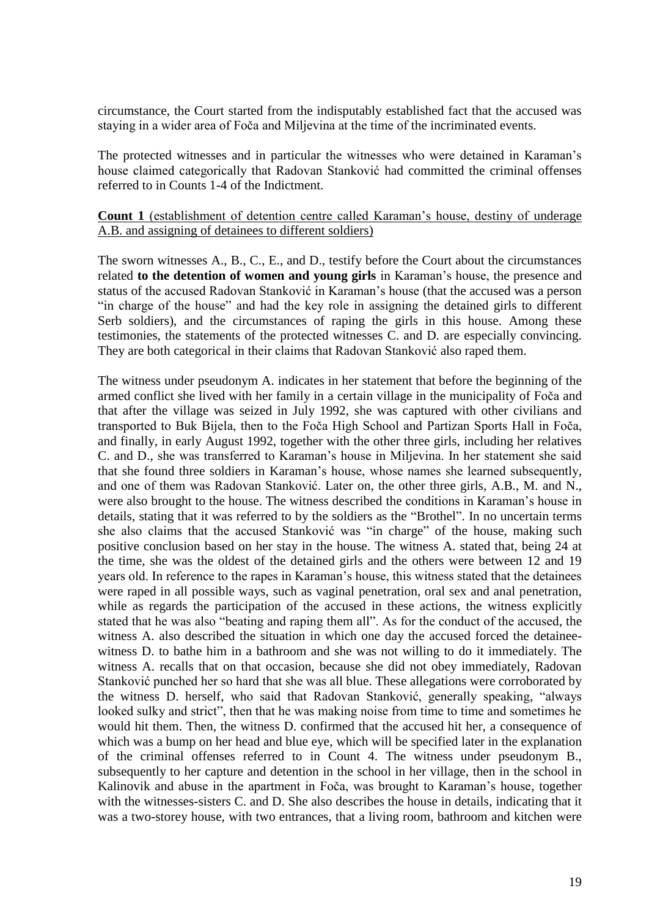circumstance, the Court started from the indisputably established fact that the accused was staying in a wider area of Foča and Miljevina at the time of the incriminated events.

The protected witnesses and in particular the witnesses who were detained in Karaman's house claimed categorically that Radovan Stanković had committed the criminal offenses referred to in Counts 1-4 of the Indictment.

## **Count 1** (establishment of detention centre called Karaman's house, destiny of underage A.B. and assigning of detainees to different soldiers)

The sworn witnesses A., B., C., E., and D., testify before the Court about the circumstances related **to the detention of women and young girls** in Karaman's house, the presence and status of the accused Radovan Stanković in Karaman's house (that the accused was a person "in charge of the house" and had the key role in assigning the detained girls to different Serb soldiers), and the circumstances of raping the girls in this house. Among these testimonies, the statements of the protected witnesses C. and D. are especially convincing. They are both categorical in their claims that Radovan Stanković also raped them.

The witness under pseudonym A. indicates in her statement that before the beginning of the armed conflict she lived with her family in a certain village in the municipality of Foča and that after the village was seized in July 1992, she was captured with other civilians and transported to Buk Bijela, then to the Foča High School and Partizan Sports Hall in Foča, and finally, in early August 1992, together with the other three girls, including her relatives C. and D., she was transferred to Karaman's house in Miljevina. In her statement she said that she found three soldiers in Karaman's house, whose names she learned subsequently, and one of them was Radovan Stanković. Later on, the other three girls, A.B., M. and N., were also brought to the house. The witness described the conditions in Karaman's house in details, stating that it was referred to by the soldiers as the "Brothel". In no uncertain terms she also claims that the accused Stanković was "in charge" of the house, making such positive conclusion based on her stay in the house. The witness A. stated that, being 24 at the time, she was the oldest of the detained girls and the others were between 12 and 19 years old. In reference to the rapes in Karaman's house, this witness stated that the detainees were raped in all possible ways, such as vaginal penetration, oral sex and anal penetration, while as regards the participation of the accused in these actions, the witness explicitly stated that he was also "beating and raping them all". As for the conduct of the accused, the witness A. also described the situation in which one day the accused forced the detaineewitness D. to bathe him in a bathroom and she was not willing to do it immediately. The witness A. recalls that on that occasion, because she did not obey immediately, Radovan Stanković punched her so hard that she was all blue. These allegations were corroborated by the witness D. herself, who said that Radovan Stanković, generally speaking, "always looked sulky and strict", then that he was making noise from time to time and sometimes he would hit them. Then, the witness D. confirmed that the accused hit her, a consequence of which was a bump on her head and blue eye, which will be specified later in the explanation of the criminal offenses referred to in Count 4. The witness under pseudonym B., subsequently to her capture and detention in the school in her village, then in the school in Kalinovik and abuse in the apartment in Foča, was brought to Karaman's house, together with the witnesses-sisters C. and D. She also describes the house in details, indicating that it was a two-storey house, with two entrances, that a living room, bathroom and kitchen were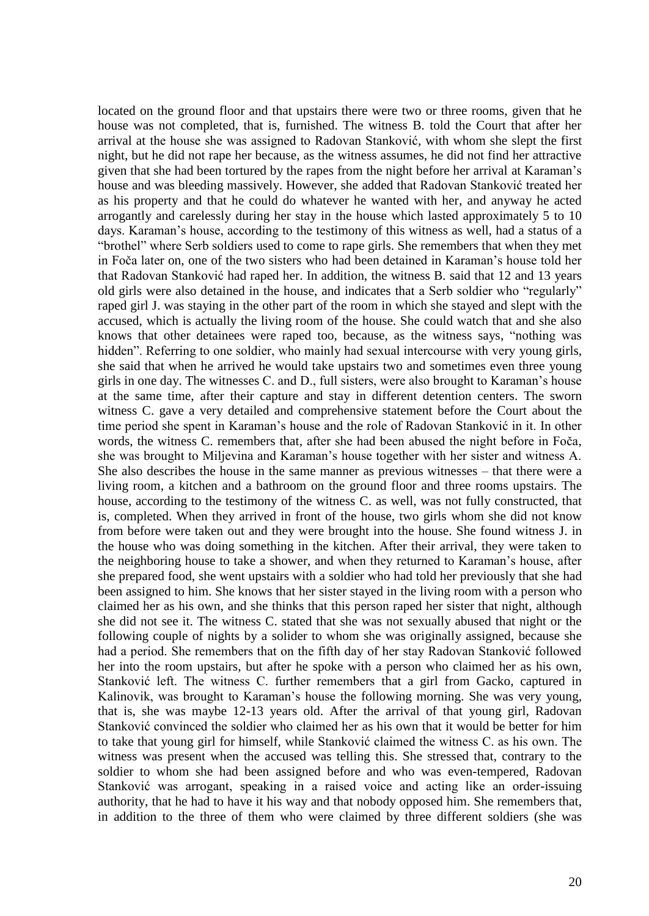located on the ground floor and that upstairs there were two or three rooms, given that he house was not completed, that is, furnished. The witness B. told the Court that after her arrival at the house she was assigned to Radovan Stanković, with whom she slept the first night, but he did not rape her because, as the witness assumes, he did not find her attractive given that she had been tortured by the rapes from the night before her arrival at Karaman's house and was bleeding massively. However, she added that Radovan Stanković treated her as his property and that he could do whatever he wanted with her, and anyway he acted arrogantly and carelessly during her stay in the house which lasted approximately 5 to 10 days. Karaman's house, according to the testimony of this witness as well, had a status of a "brothel" where Serb soldiers used to come to rape girls. She remembers that when they met in Foča later on, one of the two sisters who had been detained in Karaman's house told her that Radovan Stanković had raped her. In addition, the witness B. said that 12 and 13 years old girls were also detained in the house, and indicates that a Serb soldier who "regularly" raped girl J. was staying in the other part of the room in which she stayed and slept with the accused, which is actually the living room of the house. She could watch that and she also knows that other detainees were raped too, because, as the witness says, "nothing was hidden". Referring to one soldier, who mainly had sexual intercourse with very young girls, she said that when he arrived he would take upstairs two and sometimes even three young girls in one day. The witnesses C. and D., full sisters, were also brought to Karaman's house at the same time, after their capture and stay in different detention centers. The sworn witness C. gave a very detailed and comprehensive statement before the Court about the time period she spent in Karaman's house and the role of Radovan Stanković in it. In other words, the witness C. remembers that, after she had been abused the night before in Foča, she was brought to Miljevina and Karaman's house together with her sister and witness A. She also describes the house in the same manner as previous witnesses – that there were a living room, a kitchen and a bathroom on the ground floor and three rooms upstairs. The house, according to the testimony of the witness C. as well, was not fully constructed, that is, completed. When they arrived in front of the house, two girls whom she did not know from before were taken out and they were brought into the house. She found witness J. in the house who was doing something in the kitchen. After their arrival, they were taken to the neighboring house to take a shower, and when they returned to Karaman's house, after she prepared food, she went upstairs with a soldier who had told her previously that she had been assigned to him. She knows that her sister stayed in the living room with a person who claimed her as his own, and she thinks that this person raped her sister that night, although she did not see it. The witness C. stated that she was not sexually abused that night or the following couple of nights by a solider to whom she was originally assigned, because she had a period. She remembers that on the fifth day of her stay Radovan Stanković followed her into the room upstairs, but after he spoke with a person who claimed her as his own, Stanković left. The witness C. further remembers that a girl from Gacko, captured in Kalinovik, was brought to Karaman's house the following morning. She was very young, that is, she was maybe 12-13 years old. After the arrival of that young girl, Radovan Stanković convinced the soldier who claimed her as his own that it would be better for him to take that young girl for himself, while Stanković claimed the witness C. as his own. The witness was present when the accused was telling this. She stressed that, contrary to the soldier to whom she had been assigned before and who was even-tempered, Radovan Stanković was arrogant, speaking in a raised voice and acting like an order-issuing authority, that he had to have it his way and that nobody opposed him. She remembers that, in addition to the three of them who were claimed by three different soldiers (she was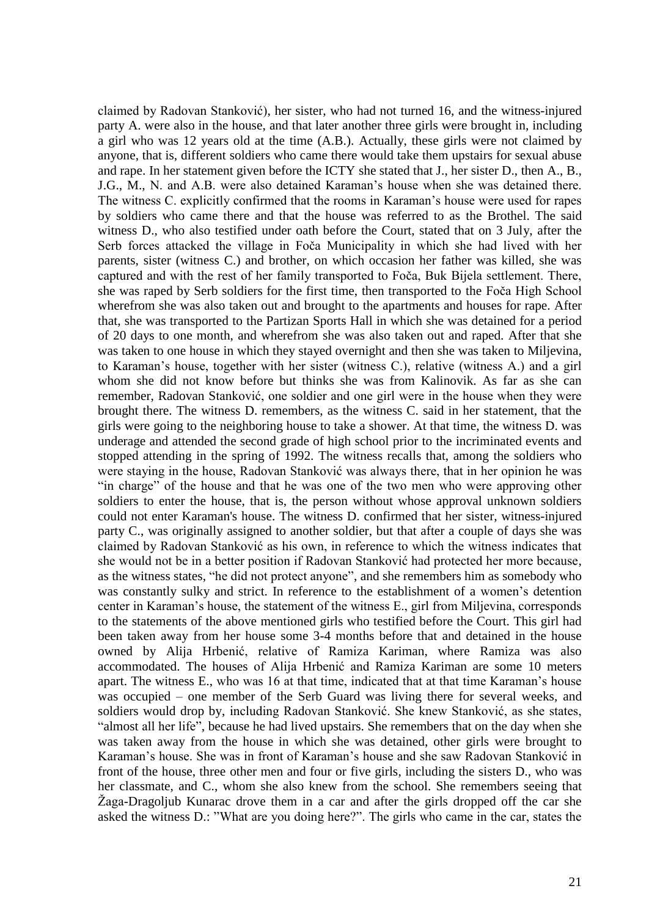claimed by Radovan Stanković), her sister, who had not turned 16, and the witness-injured party A. were also in the house, and that later another three girls were brought in, including a girl who was 12 years old at the time (A.B.). Actually, these girls were not claimed by anyone, that is, different soldiers who came there would take them upstairs for sexual abuse and rape. In her statement given before the ICTY she stated that J., her sister D., then A., B., J.G., M., N. and A.B. were also detained Karaman's house when she was detained there. The witness C. explicitly confirmed that the rooms in Karaman's house were used for rapes by soldiers who came there and that the house was referred to as the Brothel. The said witness D., who also testified under oath before the Court, stated that on 3 July, after the Serb forces attacked the village in Foča Municipality in which she had lived with her parents, sister (witness C.) and brother, on which occasion her father was killed, she was captured and with the rest of her family transported to Foča, Buk Bijela settlement. There, she was raped by Serb soldiers for the first time, then transported to the Foča High School wherefrom she was also taken out and brought to the apartments and houses for rape. After that, she was transported to the Partizan Sports Hall in which she was detained for a period of 20 days to one month, and wherefrom she was also taken out and raped. After that she was taken to one house in which they stayed overnight and then she was taken to Miljevina, to Karaman's house, together with her sister (witness C.), relative (witness A.) and a girl whom she did not know before but thinks she was from Kalinovik. As far as she can remember, Radovan Stanković, one soldier and one girl were in the house when they were brought there. The witness D. remembers, as the witness C. said in her statement, that the girls were going to the neighboring house to take a shower. At that time, the witness D. was underage and attended the second grade of high school prior to the incriminated events and stopped attending in the spring of 1992. The witness recalls that, among the soldiers who were staying in the house, Radovan Stanković was always there, that in her opinion he was "in charge" of the house and that he was one of the two men who were approving other soldiers to enter the house, that is, the person without whose approval unknown soldiers could not enter Karaman's house. The witness D. confirmed that her sister, witness-injured party C., was originally assigned to another soldier, but that after a couple of days she was claimed by Radovan Stanković as his own, in reference to which the witness indicates that she would not be in a better position if Radovan Stanković had protected her more because, as the witness states, "he did not protect anyone", and she remembers him as somebody who was constantly sulky and strict. In reference to the establishment of a women's detention center in Karaman's house, the statement of the witness E., girl from Miljevina, corresponds to the statements of the above mentioned girls who testified before the Court. This girl had been taken away from her house some 3-4 months before that and detained in the house owned by Alija Hrbenić, relative of Ramiza Kariman, where Ramiza was also accommodated. The houses of Alija Hrbenić and Ramiza Kariman are some 10 meters apart. The witness E., who was 16 at that time, indicated that at that time Karaman's house was occupied – one member of the Serb Guard was living there for several weeks, and soldiers would drop by, including Radovan Stanković. She knew Stanković, as she states, "almost all her life", because he had lived upstairs. She remembers that on the day when she was taken away from the house in which she was detained, other girls were brought to Karaman's house. She was in front of Karaman's house and she saw Radovan Stanković in front of the house, three other men and four or five girls, including the sisters D., who was her classmate, and C., whom she also knew from the school. She remembers seeing that Žaga-Dragoljub Kunarac drove them in a car and after the girls dropped off the car she asked the witness D.: "What are you doing here?". The girls who came in the car, states the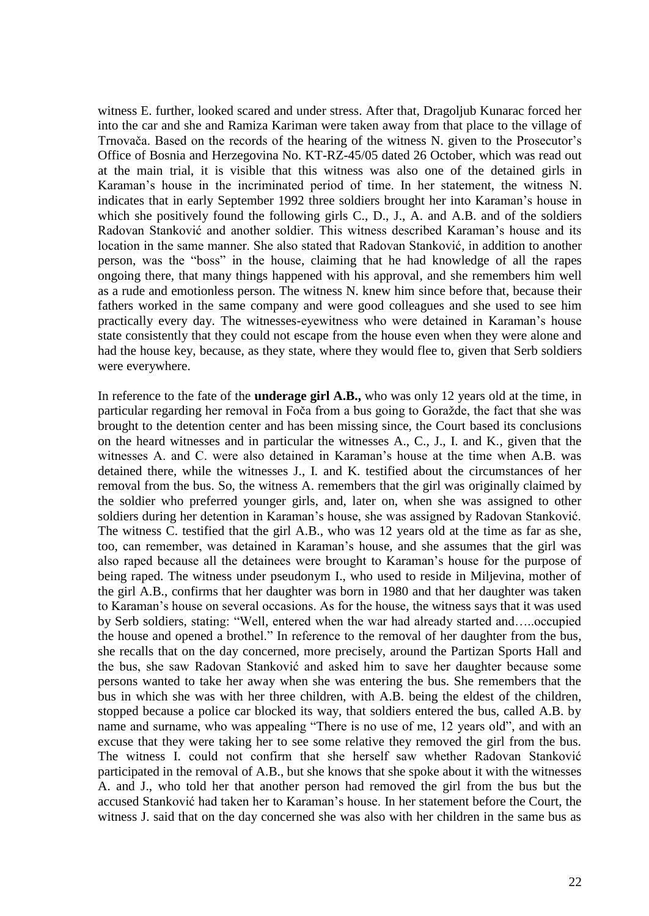witness E. further, looked scared and under stress. After that, Dragoljub Kunarac forced her into the car and she and Ramiza Kariman were taken away from that place to the village of Trnovača. Based on the records of the hearing of the witness N. given to the Prosecutor's Office of Bosnia and Herzegovina No. KT-RZ-45/05 dated 26 October, which was read out at the main trial, it is visible that this witness was also one of the detained girls in Karaman's house in the incriminated period of time. In her statement, the witness N. indicates that in early September 1992 three soldiers brought her into Karaman's house in which she positively found the following girls C., D., J., A. and A.B. and of the soldiers Radovan Stanković and another soldier. This witness described Karaman's house and its location in the same manner. She also stated that Radovan Stanković, in addition to another person, was the "boss" in the house, claiming that he had knowledge of all the rapes ongoing there, that many things happened with his approval, and she remembers him well as a rude and emotionless person. The witness N. knew him since before that, because their fathers worked in the same company and were good colleagues and she used to see him practically every day. The witnesses-eyewitness who were detained in Karaman's house state consistently that they could not escape from the house even when they were alone and had the house key, because, as they state, where they would flee to, given that Serb soldiers were everywhere.

In reference to the fate of the **underage girl A.B.,** who was only 12 years old at the time, in particular regarding her removal in Foča from a bus going to Goražde, the fact that she was brought to the detention center and has been missing since, the Court based its conclusions on the heard witnesses and in particular the witnesses A., C., J., I. and K., given that the witnesses A. and C. were also detained in Karaman's house at the time when A.B. was detained there, while the witnesses J., I. and K. testified about the circumstances of her removal from the bus. So, the witness A. remembers that the girl was originally claimed by the soldier who preferred younger girls, and, later on, when she was assigned to other soldiers during her detention in Karaman's house, she was assigned by Radovan Stanković. The witness C. testified that the girl A.B., who was 12 years old at the time as far as she, too, can remember, was detained in Karaman's house, and she assumes that the girl was also raped because all the detainees were brought to Karaman's house for the purpose of being raped. The witness under pseudonym I., who used to reside in Miljevina, mother of the girl A.B., confirms that her daughter was born in 1980 and that her daughter was taken to Karaman's house on several occasions. As for the house, the witness says that it was used by Serb soldiers, stating: "Well, entered when the war had already started and…..occupied the house and opened a brothel." In reference to the removal of her daughter from the bus, she recalls that on the day concerned, more precisely, around the Partizan Sports Hall and the bus, she saw Radovan Stanković and asked him to save her daughter because some persons wanted to take her away when she was entering the bus. She remembers that the bus in which she was with her three children, with A.B. being the eldest of the children, stopped because a police car blocked its way, that soldiers entered the bus, called A.B. by name and surname, who was appealing "There is no use of me, 12 years old", and with an excuse that they were taking her to see some relative they removed the girl from the bus. The witness I. could not confirm that she herself saw whether Radovan Stanković participated in the removal of A.B., but she knows that she spoke about it with the witnesses A. and J., who told her that another person had removed the girl from the bus but the accused Stanković had taken her to Karaman's house. In her statement before the Court, the witness J. said that on the day concerned she was also with her children in the same bus as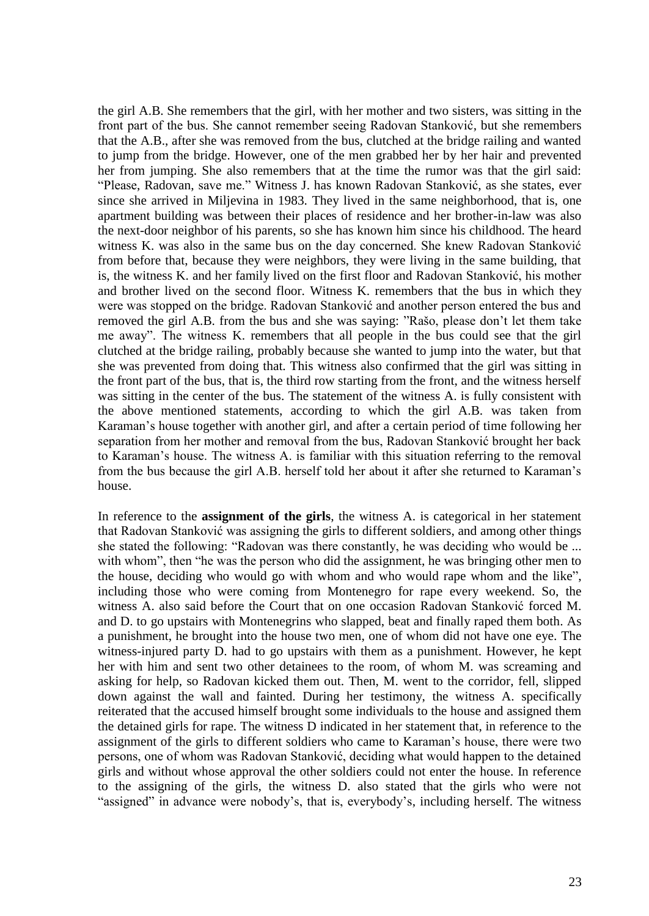the girl A.B. She remembers that the girl, with her mother and two sisters, was sitting in the front part of the bus. She cannot remember seeing Radovan Stanković, but she remembers that the A.B., after she was removed from the bus, clutched at the bridge railing and wanted to jump from the bridge. However, one of the men grabbed her by her hair and prevented her from jumping. She also remembers that at the time the rumor was that the girl said: "Please, Radovan, save me." Witness J. has known Radovan Stanković, as she states, ever since she arrived in Miljevina in 1983. They lived in the same neighborhood, that is, one apartment building was between their places of residence and her brother-in-law was also the next-door neighbor of his parents, so she has known him since his childhood. The heard witness K. was also in the same bus on the day concerned. She knew Radovan Stanković from before that, because they were neighbors, they were living in the same building, that is, the witness K. and her family lived on the first floor and Radovan Stanković, his mother and brother lived on the second floor. Witness K. remembers that the bus in which they were was stopped on the bridge. Radovan Stanković and another person entered the bus and removed the girl A.B. from the bus and she was saying: "Rašo, please don't let them take me away". The witness K. remembers that all people in the bus could see that the girl clutched at the bridge railing, probably because she wanted to jump into the water, but that she was prevented from doing that. This witness also confirmed that the girl was sitting in the front part of the bus, that is, the third row starting from the front, and the witness herself was sitting in the center of the bus. The statement of the witness A. is fully consistent with the above mentioned statements, according to which the girl A.B. was taken from Karaman's house together with another girl, and after a certain period of time following her separation from her mother and removal from the bus, Radovan Stanković brought her back to Karaman's house. The witness A. is familiar with this situation referring to the removal from the bus because the girl A.B. herself told her about it after she returned to Karaman's house.

In reference to the **assignment of the girls**, the witness A. is categorical in her statement that Radovan Stanković was assigning the girls to different soldiers, and among other things she stated the following: "Radovan was there constantly, he was deciding who would be ... with whom", then "he was the person who did the assignment, he was bringing other men to the house, deciding who would go with whom and who would rape whom and the like", including those who were coming from Montenegro for rape every weekend. So, the witness A. also said before the Court that on one occasion Radovan Stanković forced M. and D. to go upstairs with Montenegrins who slapped, beat and finally raped them both. As a punishment, he brought into the house two men, one of whom did not have one eye. The witness-injured party D. had to go upstairs with them as a punishment. However, he kept her with him and sent two other detainees to the room, of whom M. was screaming and asking for help, so Radovan kicked them out. Then, M. went to the corridor, fell, slipped down against the wall and fainted. During her testimony, the witness A. specifically reiterated that the accused himself brought some individuals to the house and assigned them the detained girls for rape. The witness D indicated in her statement that, in reference to the assignment of the girls to different soldiers who came to Karaman's house, there were two persons, one of whom was Radovan Stanković, deciding what would happen to the detained girls and without whose approval the other soldiers could not enter the house. In reference to the assigning of the girls, the witness D. also stated that the girls who were not "assigned" in advance were nobody's, that is, everybody's, including herself. The witness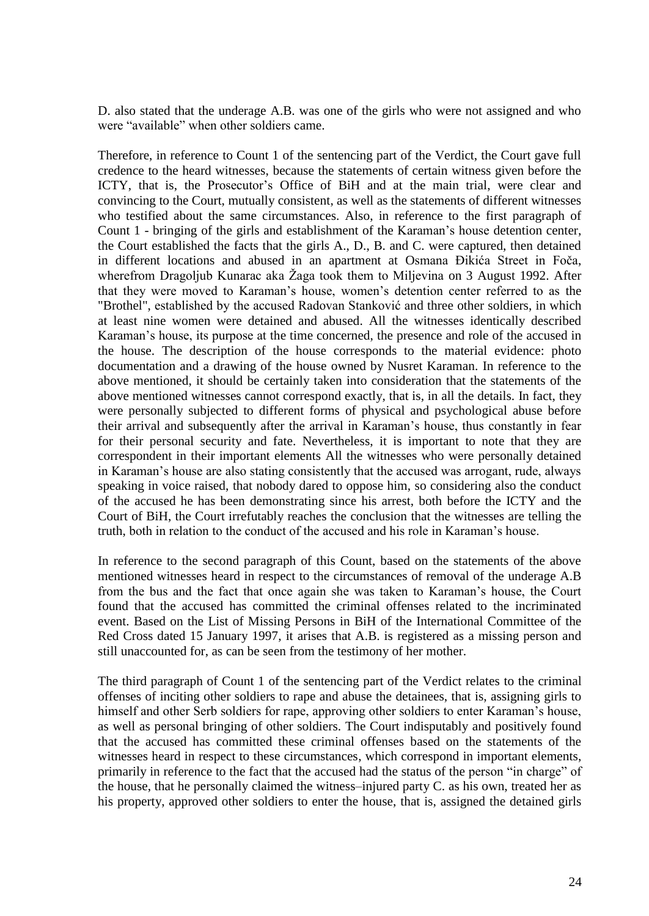D. also stated that the underage A.B. was one of the girls who were not assigned and who were "available" when other soldiers came.

Therefore, in reference to Count 1 of the sentencing part of the Verdict, the Court gave full credence to the heard witnesses, because the statements of certain witness given before the ICTY, that is, the Prosecutor's Office of BiH and at the main trial, were clear and convincing to the Court, mutually consistent, as well as the statements of different witnesses who testified about the same circumstances. Also, in reference to the first paragraph of Count 1 - bringing of the girls and establishment of the Karaman's house detention center, the Court established the facts that the girls A., D., B. and C. were captured, then detained in different locations and abused in an apartment at Osmana Đikića Street in Foča, wherefrom Dragoljub Kunarac aka Žaga took them to Miljevina on 3 August 1992. After that they were moved to Karaman's house, women's detention center referred to as the "Brothel", established by the accused Radovan Stanković and three other soldiers, in which at least nine women were detained and abused. All the witnesses identically described Karaman's house, its purpose at the time concerned, the presence and role of the accused in the house. The description of the house corresponds to the material evidence: photo documentation and a drawing of the house owned by Nusret Karaman. In reference to the above mentioned, it should be certainly taken into consideration that the statements of the above mentioned witnesses cannot correspond exactly, that is, in all the details. In fact, they were personally subjected to different forms of physical and psychological abuse before their arrival and subsequently after the arrival in Karaman's house, thus constantly in fear for their personal security and fate. Nevertheless, it is important to note that they are correspondent in their important elements All the witnesses who were personally detained in Karaman's house are also stating consistently that the accused was arrogant, rude, always speaking in voice raised, that nobody dared to oppose him, so considering also the conduct of the accused he has been demonstrating since his arrest, both before the ICTY and the Court of BiH, the Court irrefutably reaches the conclusion that the witnesses are telling the truth, both in relation to the conduct of the accused and his role in Karaman's house.

In reference to the second paragraph of this Count, based on the statements of the above mentioned witnesses heard in respect to the circumstances of removal of the underage A.B from the bus and the fact that once again she was taken to Karaman's house, the Court found that the accused has committed the criminal offenses related to the incriminated event. Based on the List of Missing Persons in BiH of the International Committee of the Red Cross dated 15 January 1997, it arises that A.B. is registered as a missing person and still unaccounted for, as can be seen from the testimony of her mother.

The third paragraph of Count 1 of the sentencing part of the Verdict relates to the criminal offenses of inciting other soldiers to rape and abuse the detainees, that is, assigning girls to himself and other Serb soldiers for rape, approving other soldiers to enter Karaman's house, as well as personal bringing of other soldiers. The Court indisputably and positively found that the accused has committed these criminal offenses based on the statements of the witnesses heard in respect to these circumstances, which correspond in important elements, primarily in reference to the fact that the accused had the status of the person "in charge" of the house, that he personally claimed the witness–injured party C. as his own, treated her as his property, approved other soldiers to enter the house, that is, assigned the detained girls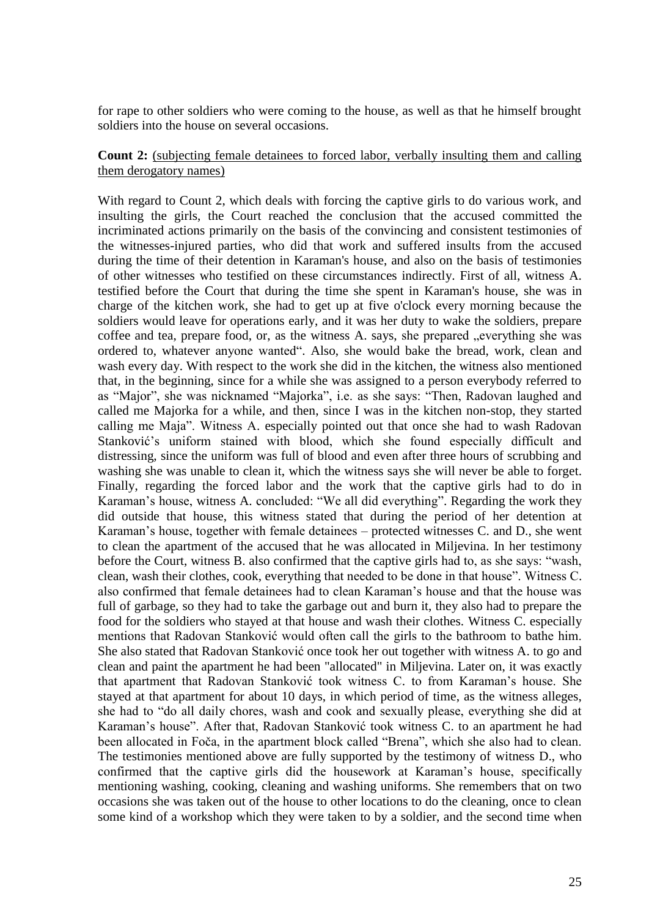for rape to other soldiers who were coming to the house, as well as that he himself brought soldiers into the house on several occasions.

# **Count 2:** (subjecting female detainees to forced labor, verbally insulting them and calling them derogatory names)

With regard to Count 2, which deals with forcing the captive girls to do various work, and insulting the girls, the Court reached the conclusion that the accused committed the incriminated actions primarily on the basis of the convincing and consistent testimonies of the witnesses-injured parties, who did that work and suffered insults from the accused during the time of their detention in Karaman's house, and also on the basis of testimonies of other witnesses who testified on these circumstances indirectly. First of all, witness A. testified before the Court that during the time she spent in Karaman's house, she was in charge of the kitchen work, she had to get up at five o'clock every morning because the soldiers would leave for operations early, and it was her duty to wake the soldiers, prepare coffee and tea, prepare food, or, as the witness A. says, she prepared "everything she was ordered to, whatever anyone wanted". Also, she would bake the bread, work, clean and wash every day. With respect to the work she did in the kitchen, the witness also mentioned that, in the beginning, since for a while she was assigned to a person everybody referred to as "Major", she was nicknamed "Majorka", i.e. as she says: "Then, Radovan laughed and called me Majorka for a while, and then, since I was in the kitchen non-stop, they started calling me Maja". Witness A. especially pointed out that once she had to wash Radovan Stanković's uniform stained with blood, which she found especially difficult and distressing, since the uniform was full of blood and even after three hours of scrubbing and washing she was unable to clean it, which the witness says she will never be able to forget. Finally, regarding the forced labor and the work that the captive girls had to do in Karaman's house, witness A. concluded: "We all did everything". Regarding the work they did outside that house, this witness stated that during the period of her detention at Karaman's house, together with female detainees – protected witnesses C. and D., she went to clean the apartment of the accused that he was allocated in Miljevina. In her testimony before the Court, witness B. also confirmed that the captive girls had to, as she says: "wash, clean, wash their clothes, cook, everything that needed to be done in that house". Witness C. also confirmed that female detainees had to clean Karaman's house and that the house was full of garbage, so they had to take the garbage out and burn it, they also had to prepare the food for the soldiers who stayed at that house and wash their clothes. Witness C. especially mentions that Radovan Stanković would often call the girls to the bathroom to bathe him. She also stated that Radovan Stanković once took her out together with witness A. to go and clean and paint the apartment he had been "allocated" in Miljevina. Later on, it was exactly that apartment that Radovan Stanković took witness C. to from Karaman's house. She stayed at that apartment for about 10 days, in which period of time, as the witness alleges, she had to "do all daily chores, wash and cook and sexually please, everything she did at Karaman's house". After that, Radovan Stanković took witness C. to an apartment he had been allocated in Foča, in the apartment block called "Brena", which she also had to clean. The testimonies mentioned above are fully supported by the testimony of witness D., who confirmed that the captive girls did the housework at Karaman's house, specifically mentioning washing, cooking, cleaning and washing uniforms. She remembers that on two occasions she was taken out of the house to other locations to do the cleaning, once to clean some kind of a workshop which they were taken to by a soldier, and the second time when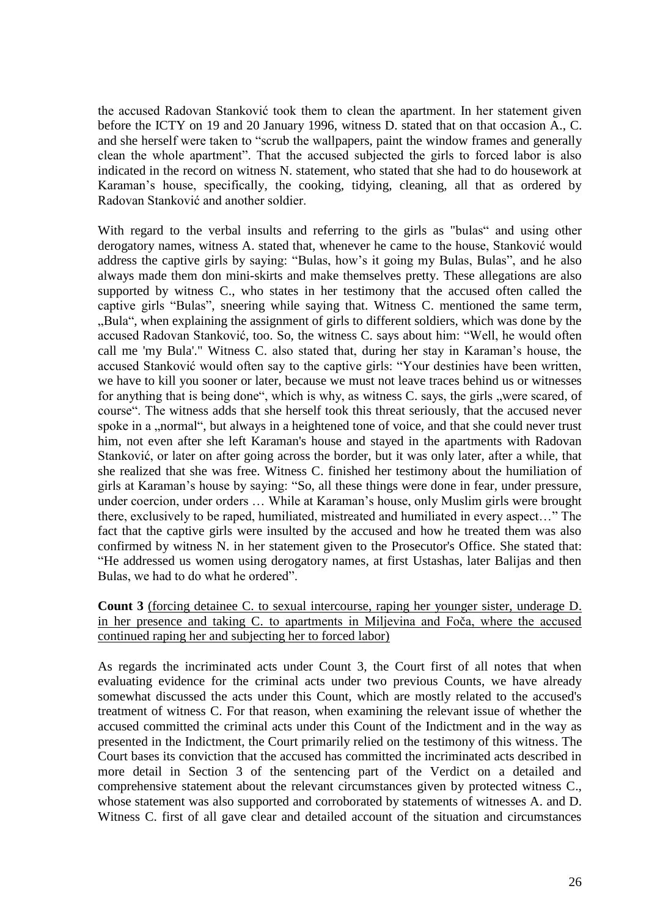the accused Radovan Stanković took them to clean the apartment. In her statement given before the ICTY on 19 and 20 January 1996, witness D. stated that on that occasion A., C. and she herself were taken to "scrub the wallpapers, paint the window frames and generally clean the whole apartment". That the accused subjected the girls to forced labor is also indicated in the record on witness N. statement, who stated that she had to do housework at Karaman's house, specifically, the cooking, tidying, cleaning, all that as ordered by Radovan Stanković and another soldier.

With regard to the verbal insults and referring to the girls as "bulas" and using other derogatory names, witness A. stated that, whenever he came to the house, Stanković would address the captive girls by saying: "Bulas, how's it going my Bulas, Bulas", and he also always made them don mini-skirts and make themselves pretty. These allegations are also supported by witness C., who states in her testimony that the accused often called the captive girls "Bulas", sneering while saying that. Witness C. mentioned the same term, "Bula", when explaining the assignment of girls to different soldiers, which was done by the accused Radovan Stanković, too. So, the witness C. says about him: "Well, he would often call me 'my Bula'." Witness C. also stated that, during her stay in Karaman's house, the accused Stanković would often say to the captive girls: "Your destinies have been written, we have to kill you sooner or later, because we must not leave traces behind us or witnesses for anything that is being done", which is why, as witness C. says, the girls "were scared, of course". The witness adds that she herself took this threat seriously, that the accused never spoke in a "normal", but always in a heightened tone of voice, and that she could never trust him, not even after she left Karaman's house and stayed in the apartments with Radovan Stanković, or later on after going across the border, but it was only later, after a while, that she realized that she was free. Witness C. finished her testimony about the humiliation of girls at Karaman's house by saying: "So, all these things were done in fear, under pressure, under coercion, under orders … While at Karaman's house, only Muslim girls were brought there, exclusively to be raped, humiliated, mistreated and humiliated in every aspect…" The fact that the captive girls were insulted by the accused and how he treated them was also confirmed by witness N. in her statement given to the Prosecutor's Office. She stated that: "He addressed us women using derogatory names, at first Ustashas, later Balijas and then Bulas, we had to do what he ordered".

# **Count 3** (forcing detainee C. to sexual intercourse, raping her younger sister, underage D. in her presence and taking C. to apartments in Miljevina and Foča, where the accused continued raping her and subjecting her to forced labor)

As regards the incriminated acts under Count 3, the Court first of all notes that when evaluating evidence for the criminal acts under two previous Counts, we have already somewhat discussed the acts under this Count, which are mostly related to the accused's treatment of witness C. For that reason, when examining the relevant issue of whether the accused committed the criminal acts under this Count of the Indictment and in the way as presented in the Indictment, the Court primarily relied on the testimony of this witness. The Court bases its conviction that the accused has committed the incriminated acts described in more detail in Section 3 of the sentencing part of the Verdict on a detailed and comprehensive statement about the relevant circumstances given by protected witness C., whose statement was also supported and corroborated by statements of witnesses A. and D. Witness C. first of all gave clear and detailed account of the situation and circumstances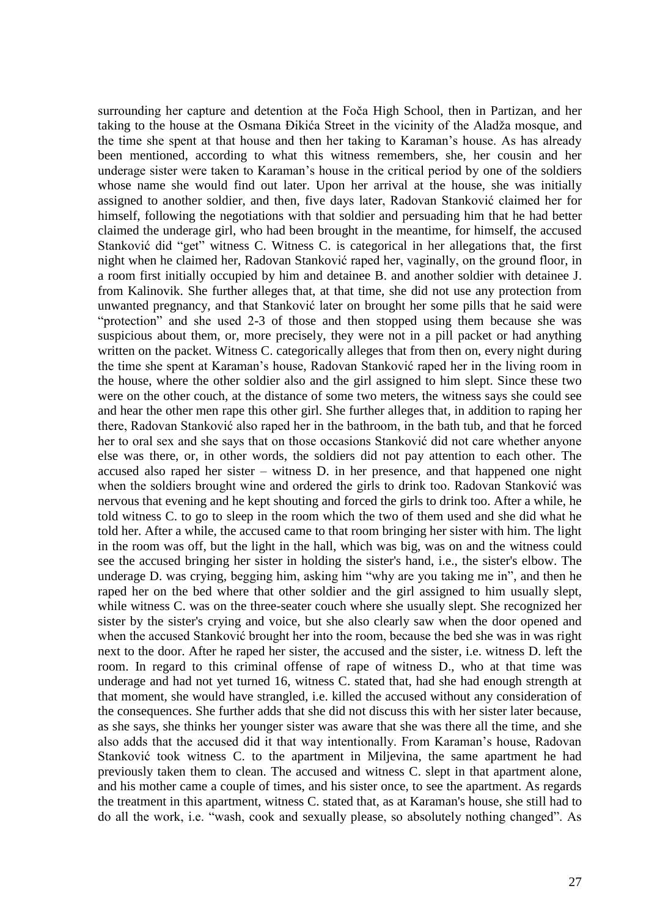surrounding her capture and detention at the Foča High School, then in Partizan, and her taking to the house at the Osmana Đikića Street in the vicinity of the Aladža mosque, and the time she spent at that house and then her taking to Karaman's house. As has already been mentioned, according to what this witness remembers, she, her cousin and her underage sister were taken to Karaman's house in the critical period by one of the soldiers whose name she would find out later. Upon her arrival at the house, she was initially assigned to another soldier, and then, five days later, Radovan Stanković claimed her for himself, following the negotiations with that soldier and persuading him that he had better claimed the underage girl, who had been brought in the meantime, for himself, the accused Stanković did "get" witness C. Witness C. is categorical in her allegations that, the first night when he claimed her, Radovan Stanković raped her, vaginally, on the ground floor, in a room first initially occupied by him and detainee B. and another soldier with detainee J. from Kalinovik. She further alleges that, at that time, she did not use any protection from unwanted pregnancy, and that Stanković later on brought her some pills that he said were "protection" and she used 2-3 of those and then stopped using them because she was suspicious about them, or, more precisely, they were not in a pill packet or had anything written on the packet. Witness C. categorically alleges that from then on, every night during the time she spent at Karaman's house, Radovan Stanković raped her in the living room in the house, where the other soldier also and the girl assigned to him slept. Since these two were on the other couch, at the distance of some two meters, the witness says she could see and hear the other men rape this other girl. She further alleges that, in addition to raping her there, Radovan Stanković also raped her in the bathroom, in the bath tub, and that he forced her to oral sex and she says that on those occasions Stanković did not care whether anyone else was there, or, in other words, the soldiers did not pay attention to each other. The accused also raped her sister – witness D. in her presence, and that happened one night when the soldiers brought wine and ordered the girls to drink too. Radovan Stanković was nervous that evening and he kept shouting and forced the girls to drink too. After a while, he told witness C. to go to sleep in the room which the two of them used and she did what he told her. After a while, the accused came to that room bringing her sister with him. The light in the room was off, but the light in the hall, which was big, was on and the witness could see the accused bringing her sister in holding the sister's hand, i.e., the sister's elbow. The underage D. was crying, begging him, asking him "why are you taking me in", and then he raped her on the bed where that other soldier and the girl assigned to him usually slept, while witness C. was on the three-seater couch where she usually slept. She recognized her sister by the sister's crying and voice, but she also clearly saw when the door opened and when the accused Stanković brought her into the room, because the bed she was in was right next to the door. After he raped her sister, the accused and the sister, i.e. witness D. left the room. In regard to this criminal offense of rape of witness D., who at that time was underage and had not yet turned 16, witness C. stated that, had she had enough strength at that moment, she would have strangled, i.e. killed the accused without any consideration of the consequences. She further adds that she did not discuss this with her sister later because, as she says, she thinks her younger sister was aware that she was there all the time, and she also adds that the accused did it that way intentionally. From Karaman's house, Radovan Stanković took witness C. to the apartment in Miljevina, the same apartment he had previously taken them to clean. The accused and witness C. slept in that apartment alone, and his mother came a couple of times, and his sister once, to see the apartment. As regards the treatment in this apartment, witness C. stated that, as at Karaman's house, she still had to do all the work, i.e. "wash, cook and sexually please, so absolutely nothing changed". As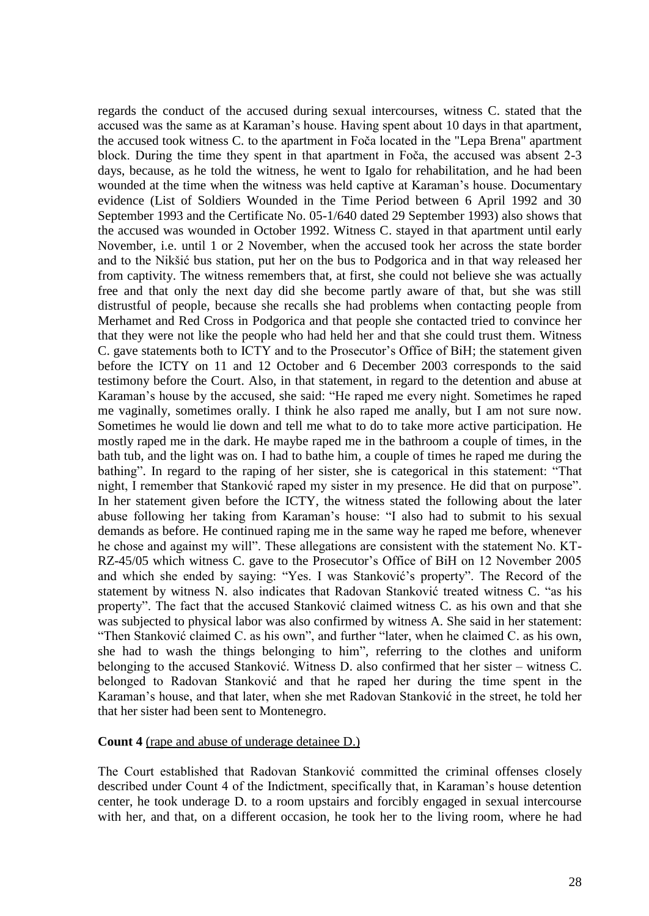regards the conduct of the accused during sexual intercourses, witness C. stated that the accused was the same as at Karaman's house. Having spent about 10 days in that apartment, the accused took witness C. to the apartment in Foča located in the "Lepa Brena" apartment block. During the time they spent in that apartment in Foča, the accused was absent 2-3 days, because, as he told the witness, he went to Igalo for rehabilitation, and he had been wounded at the time when the witness was held captive at Karaman's house. Documentary evidence (List of Soldiers Wounded in the Time Period between 6 April 1992 and 30 September 1993 and the Certificate No. 05-1/640 dated 29 September 1993) also shows that the accused was wounded in October 1992. Witness C. stayed in that apartment until early November, i.e. until 1 or 2 November, when the accused took her across the state border and to the Nikšić bus station, put her on the bus to Podgorica and in that way released her from captivity. The witness remembers that, at first, she could not believe she was actually free and that only the next day did she become partly aware of that, but she was still distrustful of people, because she recalls she had problems when contacting people from Merhamet and Red Cross in Podgorica and that people she contacted tried to convince her that they were not like the people who had held her and that she could trust them. Witness C. gave statements both to ICTY and to the Prosecutor's Office of BiH; the statement given before the ICTY on 11 and 12 October and 6 December 2003 corresponds to the said testimony before the Court. Also, in that statement, in regard to the detention and abuse at Karaman's house by the accused, she said: "He raped me every night. Sometimes he raped me vaginally, sometimes orally. I think he also raped me anally, but I am not sure now. Sometimes he would lie down and tell me what to do to take more active participation. He mostly raped me in the dark. He maybe raped me in the bathroom a couple of times, in the bath tub, and the light was on. I had to bathe him, a couple of times he raped me during the bathing". In regard to the raping of her sister, she is categorical in this statement: "That night, I remember that Stanković raped my sister in my presence. He did that on purpose". In her statement given before the ICTY, the witness stated the following about the later abuse following her taking from Karaman's house: "I also had to submit to his sexual demands as before. He continued raping me in the same way he raped me before, whenever he chose and against my will". These allegations are consistent with the statement No. KT-RZ-45/05 which witness C. gave to the Prosecutor's Office of BiH on 12 November 2005 and which she ended by saying: "Yes. I was Stanković's property". The Record of the statement by witness N. also indicates that Radovan Stanković treated witness C. "as his property". The fact that the accused Stanković claimed witness C. as his own and that she was subjected to physical labor was also confirmed by witness A. She said in her statement: "Then Stanković claimed C. as his own", and further "later, when he claimed C. as his own, she had to wash the things belonging to him", referring to the clothes and uniform belonging to the accused Stanković. Witness D. also confirmed that her sister – witness C. belonged to Radovan Stanković and that he raped her during the time spent in the Karaman's house, and that later, when she met Radovan Stanković in the street, he told her that her sister had been sent to Montenegro.

## **Count 4** (rape and abuse of underage detainee D.)

The Court established that Radovan Stanković committed the criminal offenses closely described under Count 4 of the Indictment, specifically that, in Karaman's house detention center, he took underage D. to a room upstairs and forcibly engaged in sexual intercourse with her, and that, on a different occasion, he took her to the living room, where he had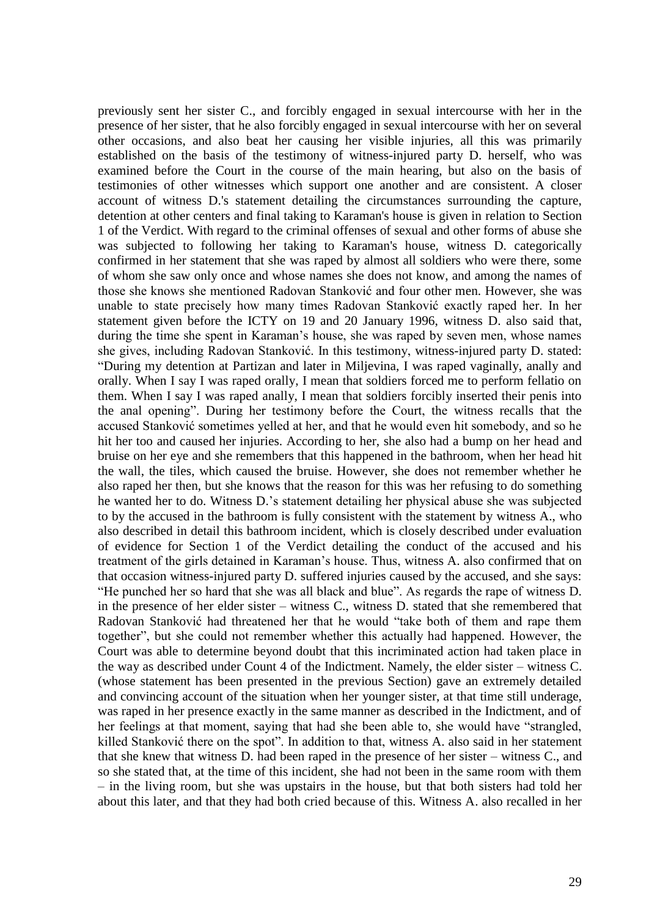previously sent her sister C., and forcibly engaged in sexual intercourse with her in the presence of her sister, that he also forcibly engaged in sexual intercourse with her on several other occasions, and also beat her causing her visible injuries, all this was primarily established on the basis of the testimony of witness-injured party D. herself, who was examined before the Court in the course of the main hearing, but also on the basis of testimonies of other witnesses which support one another and are consistent. A closer account of witness D.'s statement detailing the circumstances surrounding the capture, detention at other centers and final taking to Karaman's house is given in relation to Section 1 of the Verdict. With regard to the criminal offenses of sexual and other forms of abuse she was subjected to following her taking to Karaman's house, witness D. categorically confirmed in her statement that she was raped by almost all soldiers who were there, some of whom she saw only once and whose names she does not know, and among the names of those she knows she mentioned Radovan Stanković and four other men. However, she was unable to state precisely how many times Radovan Stanković exactly raped her. In her statement given before the ICTY on 19 and 20 January 1996, witness D. also said that, during the time she spent in Karaman's house, she was raped by seven men, whose names she gives, including Radovan Stanković. In this testimony, witness-injured party D. stated: "During my detention at Partizan and later in Miljevina, I was raped vaginally, anally and orally. When I say I was raped orally, I mean that soldiers forced me to perform fellatio on them. When I say I was raped anally, I mean that soldiers forcibly inserted their penis into the anal opening". During her testimony before the Court, the witness recalls that the accused Stanković sometimes yelled at her, and that he would even hit somebody, and so he hit her too and caused her injuries. According to her, she also had a bump on her head and bruise on her eye and she remembers that this happened in the bathroom, when her head hit the wall, the tiles, which caused the bruise. However, she does not remember whether he also raped her then, but she knows that the reason for this was her refusing to do something he wanted her to do. Witness D.'s statement detailing her physical abuse she was subjected to by the accused in the bathroom is fully consistent with the statement by witness A., who also described in detail this bathroom incident, which is closely described under evaluation of evidence for Section 1 of the Verdict detailing the conduct of the accused and his treatment of the girls detained in Karaman's house. Thus, witness A. also confirmed that on that occasion witness-injured party D. suffered injuries caused by the accused, and she says: "He punched her so hard that she was all black and blue". As regards the rape of witness D. in the presence of her elder sister – witness C., witness D. stated that she remembered that Radovan Stanković had threatened her that he would "take both of them and rape them together", but she could not remember whether this actually had happened. However, the Court was able to determine beyond doubt that this incriminated action had taken place in the way as described under Count 4 of the Indictment. Namely, the elder sister – witness C. (whose statement has been presented in the previous Section) gave an extremely detailed and convincing account of the situation when her younger sister, at that time still underage, was raped in her presence exactly in the same manner as described in the Indictment, and of her feelings at that moment, saying that had she been able to, she would have "strangled, killed Stanković there on the spot". In addition to that, witness A. also said in her statement that she knew that witness D. had been raped in the presence of her sister – witness C., and so she stated that, at the time of this incident, she had not been in the same room with them – in the living room, but she was upstairs in the house, but that both sisters had told her about this later, and that they had both cried because of this. Witness A. also recalled in her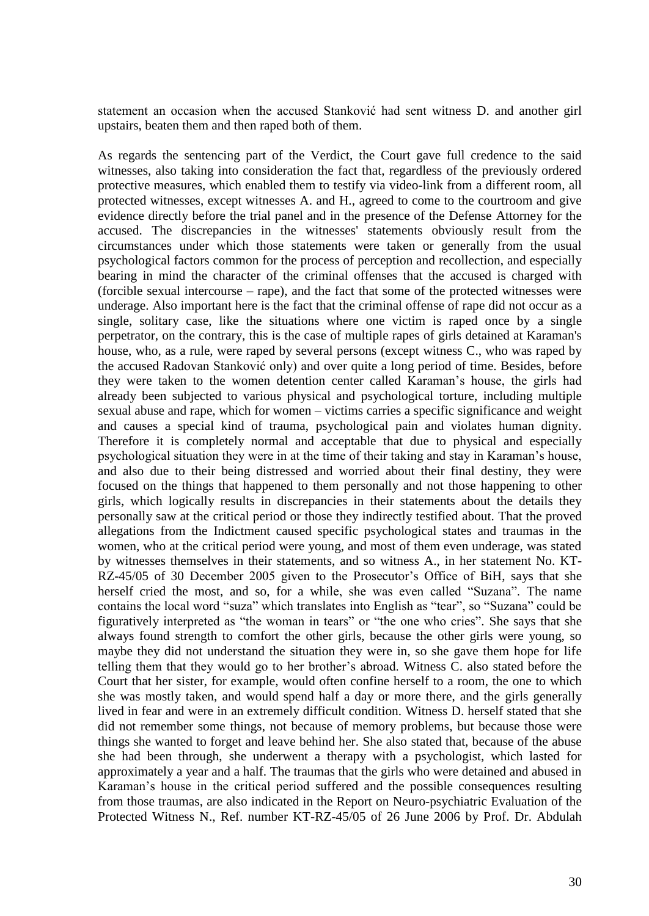statement an occasion when the accused Stanković had sent witness D. and another girl upstairs, beaten them and then raped both of them.

As regards the sentencing part of the Verdict, the Court gave full credence to the said witnesses, also taking into consideration the fact that, regardless of the previously ordered protective measures, which enabled them to testify via video-link from a different room, all protected witnesses, except witnesses A. and H., agreed to come to the courtroom and give evidence directly before the trial panel and in the presence of the Defense Attorney for the accused. The discrepancies in the witnesses' statements obviously result from the circumstances under which those statements were taken or generally from the usual psychological factors common for the process of perception and recollection, and especially bearing in mind the character of the criminal offenses that the accused is charged with (forcible sexual intercourse – rape), and the fact that some of the protected witnesses were underage. Also important here is the fact that the criminal offense of rape did not occur as a single, solitary case, like the situations where one victim is raped once by a single perpetrator, on the contrary, this is the case of multiple rapes of girls detained at Karaman's house, who, as a rule, were raped by several persons (except witness C., who was raped by the accused Radovan Stanković only) and over quite a long period of time. Besides, before they were taken to the women detention center called Karaman's house, the girls had already been subjected to various physical and psychological torture, including multiple sexual abuse and rape, which for women – victims carries a specific significance and weight and causes a special kind of trauma, psychological pain and violates human dignity. Therefore it is completely normal and acceptable that due to physical and especially psychological situation they were in at the time of their taking and stay in Karaman's house, and also due to their being distressed and worried about their final destiny, they were focused on the things that happened to them personally and not those happening to other girls, which logically results in discrepancies in their statements about the details they personally saw at the critical period or those they indirectly testified about. That the proved allegations from the Indictment caused specific psychological states and traumas in the women, who at the critical period were young, and most of them even underage, was stated by witnesses themselves in their statements, and so witness A., in her statement No. KT-RZ-45/05 of 30 December 2005 given to the Prosecutor's Office of BiH, says that she herself cried the most, and so, for a while, she was even called "Suzana". The name contains the local word "suza" which translates into English as "tear", so "Suzana" could be figuratively interpreted as "the woman in tears" or "the one who cries"*.* She says that she always found strength to comfort the other girls, because the other girls were young, so maybe they did not understand the situation they were in, so she gave them hope for life telling them that they would go to her brother's abroad. Witness C. also stated before the Court that her sister, for example, would often confine herself to a room, the one to which she was mostly taken, and would spend half a day or more there, and the girls generally lived in fear and were in an extremely difficult condition. Witness D. herself stated that she did not remember some things, not because of memory problems, but because those were things she wanted to forget and leave behind her. She also stated that, because of the abuse she had been through, she underwent a therapy with a psychologist, which lasted for approximately a year and a half. The traumas that the girls who were detained and abused in Karaman's house in the critical period suffered and the possible consequences resulting from those traumas, are also indicated in the Report on Neuro-psychiatric Evaluation of the Protected Witness N., Ref. number KT-RZ-45/05 of 26 June 2006 by Prof. Dr. Abdulah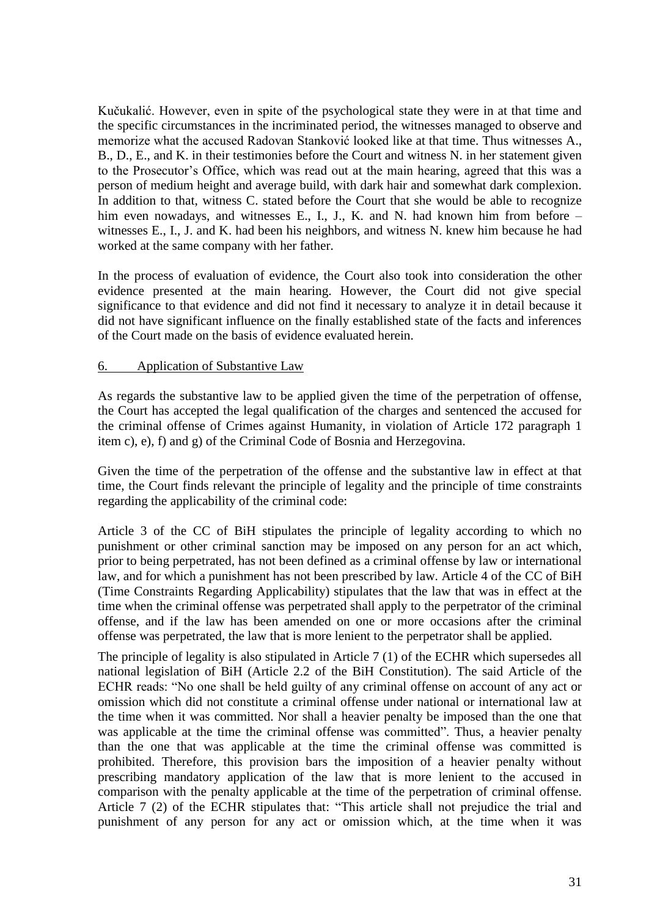Kučukalić. However, even in spite of the psychological state they were in at that time and the specific circumstances in the incriminated period, the witnesses managed to observe and memorize what the accused Radovan Stanković looked like at that time. Thus witnesses A., B., D., E., and K. in their testimonies before the Court and witness N. in her statement given to the Prosecutor's Office, which was read out at the main hearing, agreed that this was a person of medium height and average build, with dark hair and somewhat dark complexion. In addition to that, witness C. stated before the Court that she would be able to recognize him even nowadays, and witnesses E., I., J., K. and N. had known him from before – witnesses E., I., J. and K. had been his neighbors, and witness N. knew him because he had worked at the same company with her father.

In the process of evaluation of evidence, the Court also took into consideration the other evidence presented at the main hearing. However, the Court did not give special significance to that evidence and did not find it necessary to analyze it in detail because it did not have significant influence on the finally established state of the facts and inferences of the Court made on the basis of evidence evaluated herein.

## 6. Application of Substantive Law

As regards the substantive law to be applied given the time of the perpetration of offense, the Court has accepted the legal qualification of the charges and sentenced the accused for the criminal offense of Crimes against Humanity, in violation of Article 172 paragraph 1 item c), e), f) and g) of the Criminal Code of Bosnia and Herzegovina.

Given the time of the perpetration of the offense and the substantive law in effect at that time, the Court finds relevant the principle of legality and the principle of time constraints regarding the applicability of the criminal code:

Article 3 of the CC of BiH stipulates the principle of legality according to which no punishment or other criminal sanction may be imposed on any person for an act which, prior to being perpetrated, has not been defined as a criminal offense by law or international law, and for which a punishment has not been prescribed by law. Article 4 of the CC of BiH (Time Constraints Regarding Applicability) stipulates that the law that was in effect at the time when the criminal offense was perpetrated shall apply to the perpetrator of the criminal offense, and if the law has been amended on one or more occasions after the criminal offense was perpetrated, the law that is more lenient to the perpetrator shall be applied.

The principle of legality is also stipulated in Article 7 (1) of the ECHR which supersedes all national legislation of BiH (Article 2.2 of the BiH Constitution). The said Article of the ECHR reads: "No one shall be held guilty of any criminal offense on account of any act or omission which did not constitute a criminal offense under national or international law at the time when it was committed. Nor shall a heavier penalty be imposed than the one that was applicable at the time the criminal offense was committed". Thus, a heavier penalty than the one that was applicable at the time the criminal offense was committed is prohibited. Therefore, this provision bars the imposition of a heavier penalty without prescribing mandatory application of the law that is more lenient to the accused in comparison with the penalty applicable at the time of the perpetration of criminal offense. Article 7 (2) of the ECHR stipulates that: "This article shall not prejudice the trial and punishment of any person for any act or omission which, at the time when it was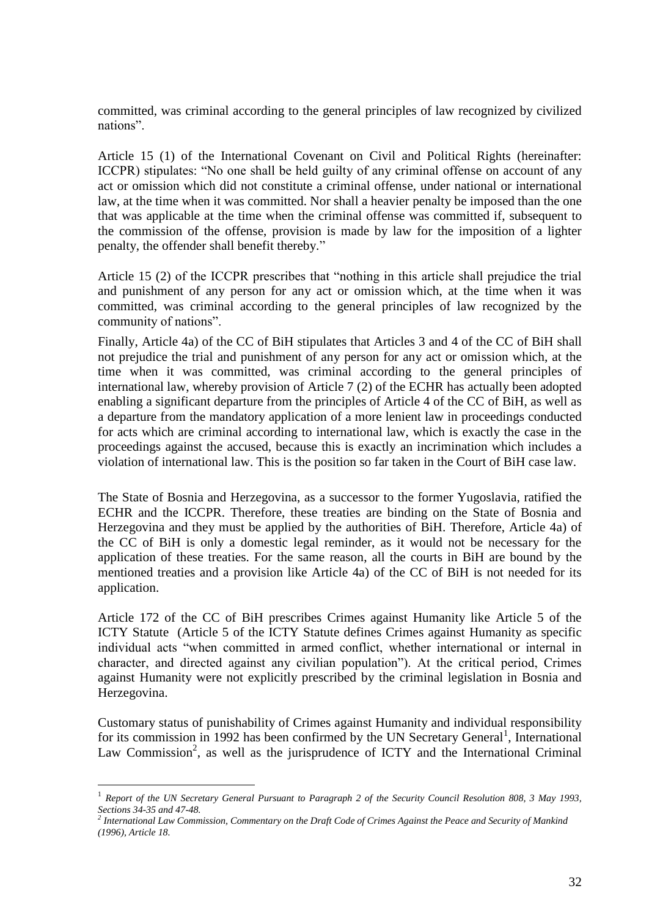committed, was criminal according to the general principles of law recognized by civilized nations".

Article 15 (1) of the International Covenant on Civil and Political Rights (hereinafter: ICCPR) stipulates: "No one shall be held guilty of any criminal offense on account of any act or omission which did not constitute a criminal offense, under national or international law, at the time when it was committed. Nor shall a heavier penalty be imposed than the one that was applicable at the time when the criminal offense was committed if, subsequent to the commission of the offense, provision is made by law for the imposition of a lighter penalty, the offender shall benefit thereby."

Article 15 (2) of the ICCPR prescribes that "nothing in this article shall prejudice the trial and punishment of any person for any act or omission which, at the time when it was committed, was criminal according to the general principles of law recognized by the community of nations".

Finally, Article 4a) of the CC of BiH stipulates that Articles 3 and 4 of the CC of BiH shall not prejudice the trial and punishment of any person for any act or omission which, at the time when it was committed, was criminal according to the general principles of international law, whereby provision of Article 7 (2) of the ECHR has actually been adopted enabling a significant departure from the principles of Article 4 of the CC of BiH, as well as a departure from the mandatory application of a more lenient law in proceedings conducted for acts which are criminal according to international law, which is exactly the case in the proceedings against the accused, because this is exactly an incrimination which includes a violation of international law. This is the position so far taken in the Court of BiH case law.

The State of Bosnia and Herzegovina, as a successor to the former Yugoslavia, ratified the ECHR and the ICCPR. Therefore, these treaties are binding on the State of Bosnia and Herzegovina and they must be applied by the authorities of BiH. Therefore, Article 4a) of the CC of BiH is only a domestic legal reminder, as it would not be necessary for the application of these treaties. For the same reason, all the courts in BiH are bound by the mentioned treaties and a provision like Article 4a) of the CC of BiH is not needed for its application.

Article 172 of the CC of BiH prescribes Crimes against Humanity like Article 5 of the ICTY Statute (Article 5 of the ICTY Statute defines Crimes against Humanity as specific individual acts "when committed in armed conflict, whether international or internal in character, and directed against any civilian population"). At the critical period, Crimes against Humanity were not explicitly prescribed by the criminal legislation in Bosnia and Herzegovina.

Customary status of punishability of Crimes against Humanity and individual responsibility for its commission in 1992 has been confirmed by the UN Secretary General<sup>1</sup>, International Law Commission<sup>2</sup>, as well as the jurisprudence of ICTY and the International Criminal

 $\overline{a}$ 

<sup>1</sup> *Report of the UN Secretary General Pursuant to Paragraph 2 of the Security Council Resolution 808, 3 May 1993, Sections 34-35 and 47-48.*

*<sup>2</sup> International Law Commission, Commentary on the Draft Code of Crimes Against the Peace and Security of Mankind (1996), Article 18.*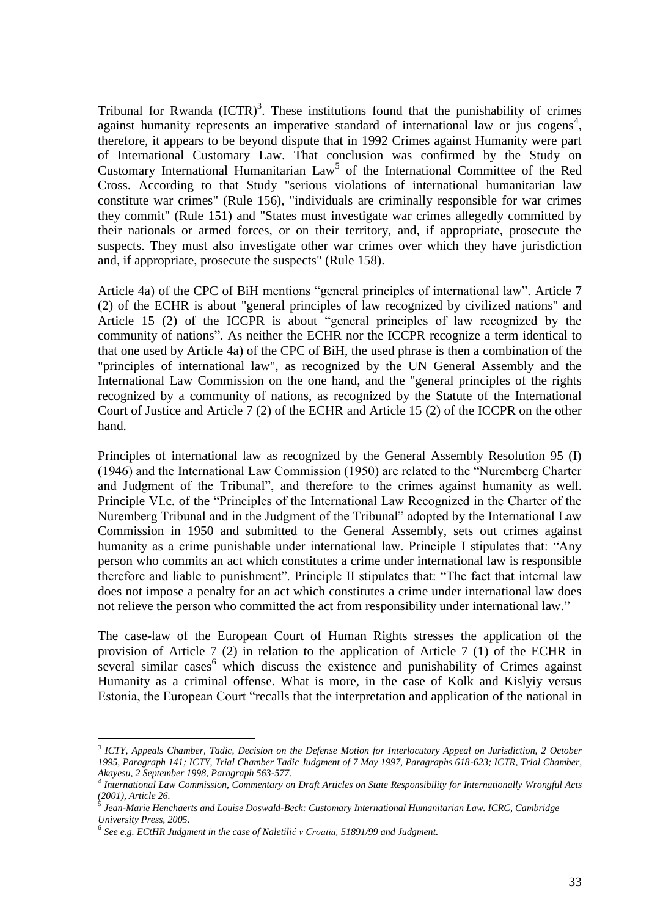Tribunal for Rwanda  $(ICTR)<sup>3</sup>$ . These institutions found that the punishability of crimes against humanity represents an imperative standard of international law or jus cogens<sup>4</sup>, therefore, it appears to be beyond dispute that in 1992 Crimes against Humanity were part of International Customary Law. That conclusion was confirmed by the Study on Customary International Humanitarian  $Law<sup>5</sup>$  of the International Committee of the Red Cross. According to that Study "serious violations of international humanitarian law constitute war crimes" (Rule 156), "individuals are criminally responsible for war crimes they commit" (Rule 151) and "States must investigate war crimes allegedly committed by their nationals or armed forces, or on their territory, and, if appropriate, prosecute the suspects. They must also investigate other war crimes over which they have jurisdiction and, if appropriate, prosecute the suspects" (Rule 158).

Article 4a) of the CPC of BiH mentions "general principles of international law". Article 7 (2) of the ECHR is about "general principles of law recognized by civilized nations" and Article 15 (2) of the ICCPR is about "general principles of law recognized by the community of nations". As neither the ECHR nor the ICCPR recognize a term identical to that one used by Article 4a) of the CPC of BiH, the used phrase is then a combination of the "principles of international law", as recognized by the UN General Assembly and the International Law Commission on the one hand, and the "general principles of the rights recognized by a community of nations, as recognized by the Statute of the International Court of Justice and Article 7 (2) of the ECHR and Article 15 (2) of the ICCPR on the other hand.

Principles of international law as recognized by the General Assembly Resolution 95 (I) (1946) and the International Law Commission (1950) are related to the "Nuremberg Charter and Judgment of the Tribunal", and therefore to the crimes against humanity as well. Principle VI.c. of the "Principles of the International Law Recognized in the Charter of the Nuremberg Tribunal and in the Judgment of the Tribunal" adopted by the International Law Commission in 1950 and submitted to the General Assembly, sets out crimes against humanity as a crime punishable under international law. Principle I stipulates that: "Any person who commits an act which constitutes a crime under international law is responsible therefore and liable to punishment". Principle II stipulates that: "The fact that internal law does not impose a penalty for an act which constitutes a crime under international law does not relieve the person who committed the act from responsibility under international law."

The case-law of the European Court of Human Rights stresses the application of the provision of Article 7 (2) in relation to the application of Article 7 (1) of the ECHR in several similar cases  $\frac{6}{3}$  which discuss the existence and punishability of Crimes against Humanity as a criminal offense. What is more, in the case of Kolk and Kislyiy versus Estonia, the European Court "recalls that the interpretation and application of the national in

 $\overline{a}$ 

*<sup>3</sup> ICTY, Appeals Chamber, Tadic, Decision on the Defense Motion for Interlocutory Appeal on Jurisdiction, 2 October 1995, Paragraph 141; ICTY, Trial Chamber Tadic Judgment of 7 May 1997, Paragraphs 618-623; ICTR, Trial Chamber, Akayesu, 2 September 1998, Paragraph 563-577.* 

*<sup>4</sup> International Law Commission, Commentary on Draft Articles on State Responsibility for Internationally Wrongful Acts (2001), Article 26.*  5

*Jean-Marie Henchaerts and Louise Doswald-Beck: Customary International Humanitarian Law. ICRC, Cambridge University Press, 2005.*

<sup>6</sup> *See e.g. ECtHR Judgment in the case of Naletilić v Croatia, 51891/99 and Judgment.*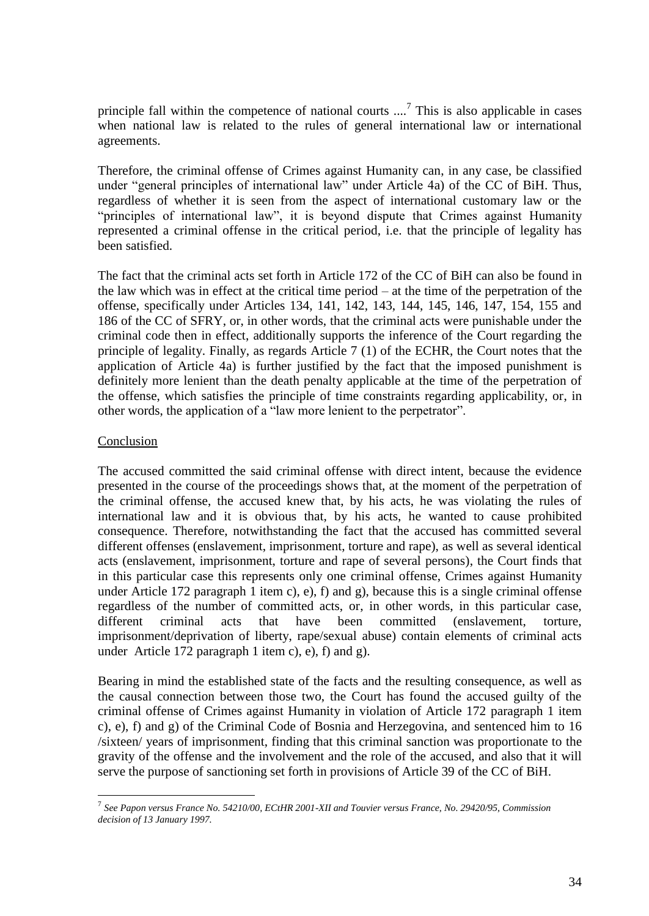principle fall within the competence of national courts  $\ldots$ <sup>7</sup> This is also applicable in cases when national law is related to the rules of general international law or international agreements.

Therefore, the criminal offense of Crimes against Humanity can, in any case, be classified under "general principles of international law" under Article 4a) of the CC of BiH. Thus, regardless of whether it is seen from the aspect of international customary law or the "principles of international law", it is beyond dispute that Crimes against Humanity represented a criminal offense in the critical period, i.e. that the principle of legality has been satisfied.

The fact that the criminal acts set forth in Article 172 of the CC of BiH can also be found in the law which was in effect at the critical time period – at the time of the perpetration of the offense, specifically under Articles 134, 141, 142, 143, 144, 145, 146, 147, 154, 155 and 186 of the CC of SFRY, or, in other words, that the criminal acts were punishable under the criminal code then in effect, additionally supports the inference of the Court regarding the principle of legality. Finally, as regards Article 7 (1) of the ECHR, the Court notes that the application of Article 4a) is further justified by the fact that the imposed punishment is definitely more lenient than the death penalty applicable at the time of the perpetration of the offense, which satisfies the principle of time constraints regarding applicability, or, in other words, the application of a "law more lenient to the perpetrator".

## Conclusion

 $\overline{a}$ 

The accused committed the said criminal offense with direct intent, because the evidence presented in the course of the proceedings shows that, at the moment of the perpetration of the criminal offense, the accused knew that, by his acts, he was violating the rules of international law and it is obvious that, by his acts, he wanted to cause prohibited consequence. Therefore, notwithstanding the fact that the accused has committed several different offenses (enslavement, imprisonment, torture and rape), as well as several identical acts (enslavement, imprisonment, torture and rape of several persons), the Court finds that in this particular case this represents only one criminal offense, Crimes against Humanity under Article 172 paragraph 1 item c), e), f) and g), because this is a single criminal offense regardless of the number of committed acts, or, in other words, in this particular case, different criminal acts that have been committed (enslavement, torture, imprisonment/deprivation of liberty, rape/sexual abuse) contain elements of criminal acts under Article 172 paragraph 1 item c), e), f) and g).

Bearing in mind the established state of the facts and the resulting consequence, as well as the causal connection between those two, the Court has found the accused guilty of the criminal offense of Crimes against Humanity in violation of Article 172 paragraph 1 item c), e), f) and g) of the Criminal Code of Bosnia and Herzegovina, and sentenced him to 16 /sixteen/ years of imprisonment, finding that this criminal sanction was proportionate to the gravity of the offense and the involvement and the role of the accused, and also that it will serve the purpose of sanctioning set forth in provisions of Article 39 of the CC of BiH.

<sup>7</sup> *See Papon versus France No. 54210/00, ECtHR 2001-XII and Touvier versus France, No. 29420/95, Commission decision of 13 January 1997.*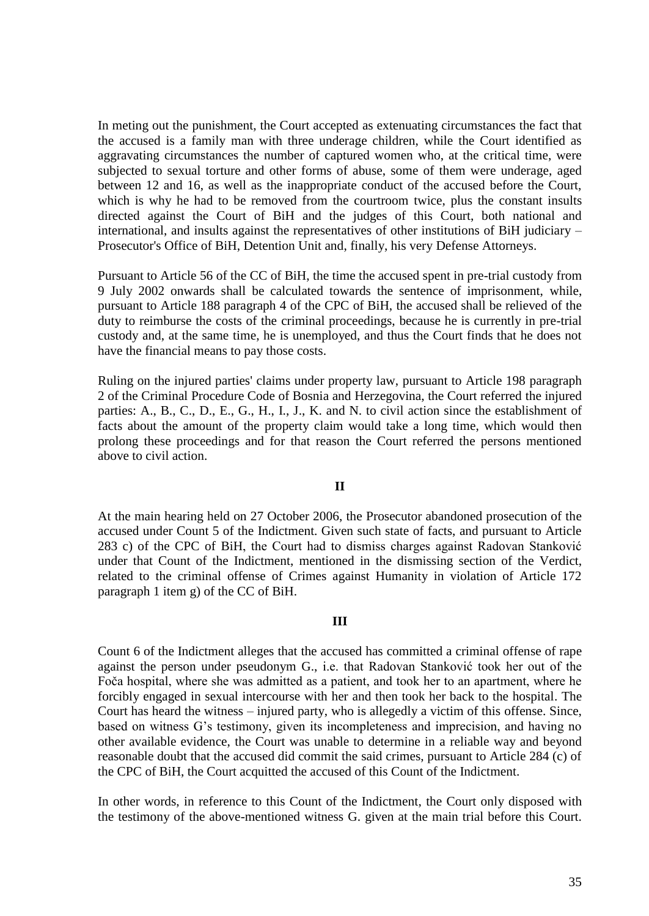In meting out the punishment, the Court accepted as extenuating circumstances the fact that the accused is a family man with three underage children, while the Court identified as aggravating circumstances the number of captured women who, at the critical time, were subjected to sexual torture and other forms of abuse, some of them were underage, aged between 12 and 16, as well as the inappropriate conduct of the accused before the Court, which is why he had to be removed from the courtroom twice, plus the constant insults directed against the Court of BiH and the judges of this Court, both national and international, and insults against the representatives of other institutions of BiH judiciary – Prosecutor's Office of BiH, Detention Unit and, finally, his very Defense Attorneys.

Pursuant to Article 56 of the CC of BiH, the time the accused spent in pre-trial custody from 9 July 2002 onwards shall be calculated towards the sentence of imprisonment, while, pursuant to Article 188 paragraph 4 of the CPC of BiH, the accused shall be relieved of the duty to reimburse the costs of the criminal proceedings, because he is currently in pre-trial custody and, at the same time, he is unemployed, and thus the Court finds that he does not have the financial means to pay those costs.

Ruling on the injured parties' claims under property law, pursuant to Article 198 paragraph 2 of the Criminal Procedure Code of Bosnia and Herzegovina, the Court referred the injured parties: A., B., C., D., E., G., H., I., J., K. and N. to civil action since the establishment of facts about the amount of the property claim would take a long time, which would then prolong these proceedings and for that reason the Court referred the persons mentioned above to civil action.

#### **II**

At the main hearing held on 27 October 2006, the Prosecutor abandoned prosecution of the accused under Count 5 of the Indictment. Given such state of facts, and pursuant to Article 283 c) of the CPC of BiH, the Court had to dismiss charges against Radovan Stanković under that Count of the Indictment, mentioned in the dismissing section of the Verdict, related to the criminal offense of Crimes against Humanity in violation of Article 172 paragraph 1 item g) of the CC of BiH.

### **III**

Count 6 of the Indictment alleges that the accused has committed a criminal offense of rape against the person under pseudonym G., i.e. that Radovan Stanković took her out of the Foča hospital, where she was admitted as a patient, and took her to an apartment, where he forcibly engaged in sexual intercourse with her and then took her back to the hospital. The Court has heard the witness – injured party, who is allegedly a victim of this offense. Since, based on witness G's testimony, given its incompleteness and imprecision, and having no other available evidence, the Court was unable to determine in a reliable way and beyond reasonable doubt that the accused did commit the said crimes, pursuant to Article 284 (c) of the CPC of BiH, the Court acquitted the accused of this Count of the Indictment.

In other words, in reference to this Count of the Indictment, the Court only disposed with the testimony of the above-mentioned witness G. given at the main trial before this Court.